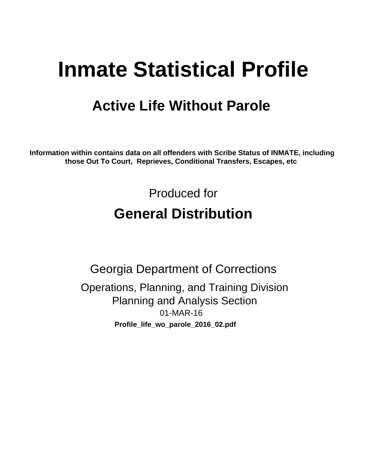# **Inmate Statistical Profile**

## **Active Life Without Parole**

Information within contains data on all offenders with Scribe Status of INMATE, including those Out To Court, Reprieves, Conditional Transfers, Escapes, etc

> Produced for **General Distribution**

**Georgia Department of Corrections** Operations, Planning, and Training Division **Planning and Analysis Section** 01-MAR-16 Profile\_life\_wo\_parole\_2016\_02.pdf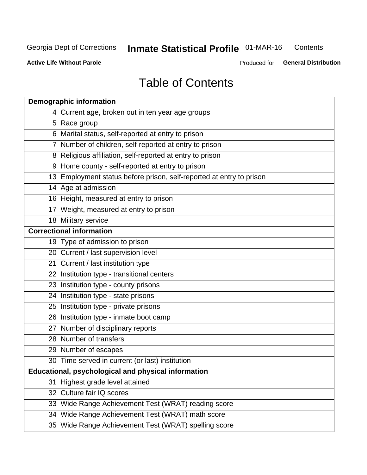#### Inmate Statistical Profile 01-MAR-16 Contents

**Active Life Without Parole** 

Produced for General Distribution

## **Table of Contents**

| <b>Demographic information</b>                                       |
|----------------------------------------------------------------------|
| 4 Current age, broken out in ten year age groups                     |
| 5 Race group                                                         |
| 6 Marital status, self-reported at entry to prison                   |
| 7 Number of children, self-reported at entry to prison               |
| 8 Religious affiliation, self-reported at entry to prison            |
| 9 Home county - self-reported at entry to prison                     |
| 13 Employment status before prison, self-reported at entry to prison |
| 14 Age at admission                                                  |
| 16 Height, measured at entry to prison                               |
| 17 Weight, measured at entry to prison                               |
| 18 Military service                                                  |
| <b>Correctional information</b>                                      |
| 19 Type of admission to prison                                       |
| 20 Current / last supervision level                                  |
| 21 Current / last institution type                                   |
| 22 Institution type - transitional centers                           |
| 23 Institution type - county prisons                                 |
| 24 Institution type - state prisons                                  |
| 25 Institution type - private prisons                                |
| 26 Institution type - inmate boot camp                               |
| 27 Number of disciplinary reports                                    |
| 28 Number of transfers                                               |
| 29 Number of escapes                                                 |
| 30 Time served in current (or last) institution                      |
| Educational, psychological and physical information                  |
| 31 Highest grade level attained                                      |
| 32 Culture fair IQ scores                                            |
| 33 Wide Range Achievement Test (WRAT) reading score                  |
| 34 Wide Range Achievement Test (WRAT) math score                     |
| 35 Wide Range Achievement Test (WRAT) spelling score                 |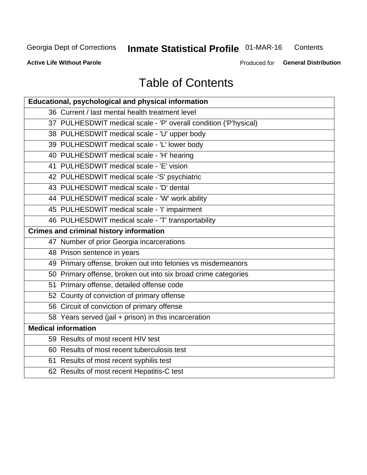## Inmate Statistical Profile 01-MAR-16

Contents

**Active Life Without Parole** 

Produced for General Distribution

## **Table of Contents**

| Educational, psychological and physical information              |
|------------------------------------------------------------------|
| 36 Current / last mental health treatment level                  |
| 37 PULHESDWIT medical scale - 'P' overall condition ('P'hysical) |
| 38 PULHESDWIT medical scale - 'U' upper body                     |
| 39 PULHESDWIT medical scale - 'L' lower body                     |
| 40 PULHESDWIT medical scale - 'H' hearing                        |
| 41 PULHESDWIT medical scale - 'E' vision                         |
| 42 PULHESDWIT medical scale -'S' psychiatric                     |
| 43 PULHESDWIT medical scale - 'D' dental                         |
| 44 PULHESDWIT medical scale - 'W' work ability                   |
| 45 PULHESDWIT medical scale - 'I' impairment                     |
| 46 PULHESDWIT medical scale - 'T' transportability               |
| <b>Crimes and criminal history information</b>                   |
| 47 Number of prior Georgia incarcerations                        |
| 48 Prison sentence in years                                      |
| 49 Primary offense, broken out into felonies vs misdemeanors     |
| 50 Primary offense, broken out into six broad crime categories   |
| 51 Primary offense, detailed offense code                        |
| 52 County of conviction of primary offense                       |
| 56 Circuit of conviction of primary offense                      |
| 58 Years served (jail + prison) in this incarceration            |
| <b>Medical information</b>                                       |
| 59 Results of most recent HIV test                               |
| 60 Results of most recent tuberculosis test                      |
| 61 Results of most recent syphilis test                          |
| 62 Results of most recent Hepatitis-C test                       |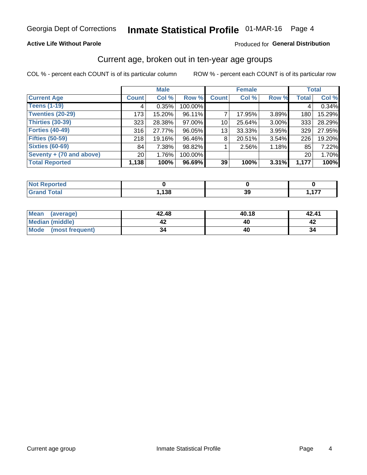#### **Active Life Without Parole**

#### Produced for General Distribution

### Current age, broken out in ten-year age groups

COL % - percent each COUNT is of its particular column

|                          |                 | <b>Male</b> |         |                 | <b>Female</b> |          |              | <b>Total</b> |
|--------------------------|-----------------|-------------|---------|-----------------|---------------|----------|--------------|--------------|
| <b>Current Age</b>       | <b>Count</b>    | Col %       | Row %   | <b>Count</b>    | Col %         | Row %    | <b>Total</b> | Col %        |
| <b>Teens (1-19)</b>      | 4               | 0.35%       | 100.00% |                 |               |          | 4            | 0.34%        |
| <b>Twenties (20-29)</b>  | 173             | 15.20%      | 96.11%  |                 | 17.95%        | $3.89\%$ | 180          | 15.29%       |
| Thirties (30-39)         | 323             | 28.38%      | 97.00%  | 10 <sup>1</sup> | 25.64%        | 3.00%    | 333          | 28.29%       |
| <b>Forties (40-49)</b>   | 316             | 27.77%      | 96.05%  | 13              | 33.33%        | 3.95%    | 329          | 27.95%       |
| <b>Fifties (50-59)</b>   | 218             | 19.16%      | 96.46%  | 8               | 20.51%        | 3.54%    | 226          | 19.20%       |
| <b>Sixties (60-69)</b>   | 84              | 7.38%       | 98.82%  |                 | 2.56%         | 1.18%    | 85           | 7.22%        |
| Seventy + (70 and above) | 20 <sub>1</sub> | 1.76%       | 100.00% |                 |               |          | 20           | 1.70%        |
| <b>Total Reported</b>    | 1,138           | 100%        | 96.69%  | 39              | 100%          | 3.31%    | 1,177        | 100%         |

| orted<br>וחש<br>. <b>.</b> |      |                    |          |
|----------------------------|------|--------------------|----------|
| <b>Total</b>               | ,138 | $\mathbf{A}$<br>vũ | 177<br>. |

| Mean<br>(average)       | 42.48 | 40.18 | 42.41 |
|-------------------------|-------|-------|-------|
| <b>Median (middle)</b>  |       | 40    |       |
| Mode<br>(most frequent) | 34    | 40    |       |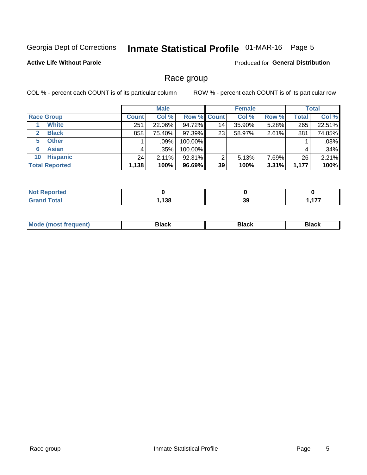## Inmate Statistical Profile 01-MAR-16 Page 5

#### **Active Life Without Parole**

Produced for General Distribution

### Race group

COL % - percent each COUNT is of its particular column

|                              |              | <b>Male</b> |                    |                 | <b>Female</b> |       |              | <b>Total</b> |  |
|------------------------------|--------------|-------------|--------------------|-----------------|---------------|-------|--------------|--------------|--|
| <b>Race Group</b>            | <b>Count</b> | Col %       | <b>Row % Count</b> |                 | Col %         | Row % | <b>Total</b> | Col %        |  |
| <b>White</b>                 | 251          | 22.06%      | 94.72%             | 14 <sub>1</sub> | 35.90%        | 5.28% | 265          | 22.51%       |  |
| <b>Black</b><br>$\mathbf{2}$ | 858          | 75.40%      | 97.39%             | 23              | 58.97%        | 2.61% | 881          | 74.85%       |  |
| <b>Other</b><br>5.           |              | $.09\%$     | 100.00%            |                 |               |       |              | .08%         |  |
| <b>Asian</b><br>6            | 4            | .35%        | 100.00%            |                 |               |       | 4            | .34%         |  |
| <b>Hispanic</b><br>10        | 24           | 2.11%       | 92.31%             | 2               | 5.13%         | 7.69% | 26           | 2.21%        |  |
| <b>Total Reported</b>        | 1,138        | 100%        | $96.69\%$          | 39              | 100%          | 3.31% | 1,177        | 100%         |  |

| тео   |     |          |  |
|-------|-----|----------|--|
| ັດtal | 138 | 21<br>J3 |  |

| –•••• |  | M |  |  |  |
|-------|--|---|--|--|--|
|-------|--|---|--|--|--|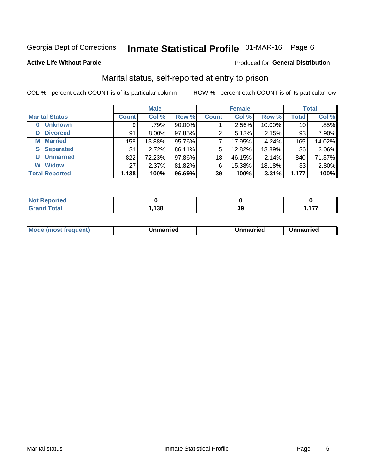## Inmate Statistical Profile 01-MAR-16 Page 6

#### **Active Life Without Parole**

#### Produced for General Distribution

### Marital status, self-reported at entry to prison

COL % - percent each COUNT is of its particular column

|                            | <b>Male</b>  |          |        |              | <b>Female</b> | <b>Total</b> |              |        |
|----------------------------|--------------|----------|--------|--------------|---------------|--------------|--------------|--------|
| <b>Marital Status</b>      | <b>Count</b> | Col %    | Row %  | <b>Count</b> | Col %         | Row %        | <b>Total</b> | Col %  |
| <b>Unknown</b><br>$\bf{0}$ | 9            | .79%     | 90.00% |              | 2.56%         | 10.00%       | 10           | .85%   |
| <b>Divorced</b><br>D       | 91           | $8.00\%$ | 97.85% | 2            | 5.13%         | 2.15%        | 93           | 7.90%  |
| <b>Married</b><br>М        | 158          | 13.88%   | 95.76% | 7            | 17.95%        | 4.24%        | 165          | 14.02% |
| <b>Separated</b><br>S.     | 31           | 2.72%    | 86.11% | 5            | 12.82%        | 13.89%       | 36           | 3.06%  |
| <b>Unmarried</b><br>U      | 822          | 72.23%   | 97.86% | 18           | 46.15%        | 2.14%        | 840          | 71.37% |
| <b>Widow</b><br>W          | 27           | $2.37\%$ | 81.82% | 6            | 15.38%        | 18.18%       | 33           | 2.80%  |
| <b>Total Reported</b>      | 1,138        | 100%     | 96.69% | 39           | 100%          | 3.31%        | 1,177        | 100%   |

| prted<br>' NOI |     |          |               |
|----------------|-----|----------|---------------|
| <b>Total</b>   | 138 | ^'<br>აა | ---<br>.<br>. |

|--|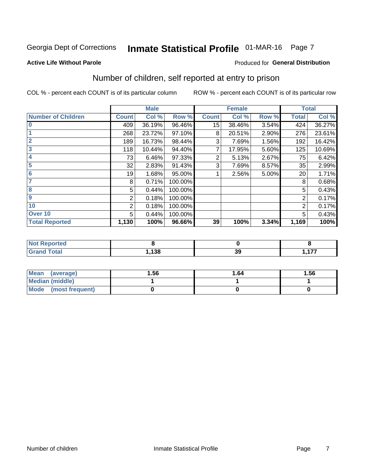## Inmate Statistical Profile 01-MAR-16 Page 7

#### **Active Life Without Parole**

#### Produced for General Distribution

## Number of children, self reported at entry to prison

COL % - percent each COUNT is of its particular column

|                           |              | <b>Male</b> |         |                 | <b>Female</b> |       |              | <b>Total</b> |
|---------------------------|--------------|-------------|---------|-----------------|---------------|-------|--------------|--------------|
| <b>Number of Children</b> | <b>Count</b> | Col %       | Row %   | <b>Count</b>    | Col %         | Row % | <b>Total</b> | Col %        |
| $\bf{0}$                  | 409          | 36.19%      | 96.46%  | 15 <sub>1</sub> | 38.46%        | 3.54% | 424          | 36.27%       |
|                           | 268          | 23.72%      | 97.10%  | 8               | 20.51%        | 2.90% | 276          | 23.61%       |
| $\overline{2}$            | 189          | 16.73%      | 98.44%  | 3               | 7.69%         | 1.56% | 192          | 16.42%       |
| 3                         | 118          | 10.44%      | 94.40%  | 7               | 17.95%        | 5.60% | 125          | 10.69%       |
| 4                         | 73           | 6.46%       | 97.33%  | 2               | 5.13%         | 2.67% | 75           | 6.42%        |
| 5                         | 32           | 2.83%       | 91.43%  | 3               | 7.69%         | 8.57% | 35           | 2.99%        |
| 6                         | 19           | 1.68%       | 95.00%  |                 | 2.56%         | 5.00% | 20           | 1.71%        |
| 7                         | 8            | 0.71%       | 100.00% |                 |               |       | 8            | 0.68%        |
| 8                         | 5            | 0.44%       | 100.00% |                 |               |       | 5            | 0.43%        |
| $\boldsymbol{9}$          | 2            | 0.18%       | 100.00% |                 |               |       | 2            | 0.17%        |
| 10                        | 2            | 0.18%       | 100.00% |                 |               |       | 2            | 0.17%        |
| Over 10                   | 5            | 0.44%       | 100.00% |                 |               |       | 5            | 0.43%        |
| <b>Total Reported</b>     | 1,130        | 100%        | 96.66%  | 39              | 100%          | 3.34% | 1,169        | 100%         |

| rreo           |      |                  |                |
|----------------|------|------------------|----------------|
| υιαι<br>$\sim$ | ,138 | - -<br>. .<br>νJ | $\overline{1}$ |

| <b>Mean</b><br>(average) | 1.56 | 1.64 | 1.56 |
|--------------------------|------|------|------|
| Median (middle)          |      |      |      |
| Mode (most frequent)     |      |      |      |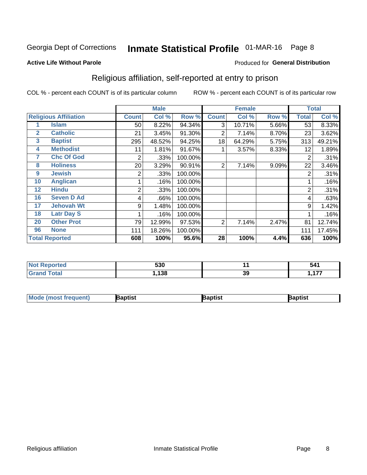## Inmate Statistical Profile 01-MAR-16 Page 8

#### **Active Life Without Parole**

#### Produced for General Distribution

### Religious affiliation, self-reported at entry to prison

COL % - percent each COUNT is of its particular column

|              |                              | <b>Male</b>  |                                                  |         | <b>Female</b>  |        |       | <b>Total</b> |        |
|--------------|------------------------------|--------------|--------------------------------------------------|---------|----------------|--------|-------|--------------|--------|
|              | <b>Religious Affiliation</b> | <b>Count</b> | Col %<br>Row %<br><b>Count</b><br>Col %<br>Row % |         | Total          | Col %  |       |              |        |
|              | <b>Islam</b>                 | 50           | 8.22%                                            | 94.34%  | 3              | 10.71% | 5.66% | 53           | 8.33%  |
| $\mathbf{2}$ | <b>Catholic</b>              | 21           | 3.45%                                            | 91.30%  | 2              | 7.14%  | 8.70% | 23           | 3.62%  |
| 3            | <b>Baptist</b>               | 295          | 48.52%                                           | 94.25%  | 18             | 64.29% | 5.75% | 313          | 49.21% |
| 4            | <b>Methodist</b>             | 11           | 1.81%                                            | 91.67%  |                | 3.57%  | 8.33% | 12           | 1.89%  |
| 7            | <b>Chc Of God</b>            | 2            | .33%                                             | 100.00% |                |        |       | 2            | .31%   |
| 8            | <b>Holiness</b>              | 20           | 3.29%                                            | 90.91%  | $\overline{2}$ | 7.14%  | 9.09% | 22           | 3.46%  |
| 9            | <b>Jewish</b>                | 2            | .33%                                             | 100.00% |                |        |       | 2            | .31%   |
| 10           | <b>Anglican</b>              |              | .16%                                             | 100.00% |                |        |       |              | .16%   |
| 12           | <b>Hindu</b>                 | 2            | .33%                                             | 100.00% |                |        |       | 2            | .31%   |
| 16           | <b>Seven D Ad</b>            | 4            | .66%                                             | 100.00% |                |        |       | 4            | .63%   |
| 17           | <b>Jehovah Wt</b>            | 9            | 1.48%                                            | 100.00% |                |        |       | 9            | 1.42%  |
| 18           | <b>Latr Day S</b>            |              | .16%                                             | 100.00% |                |        |       |              | .16%   |
| 20           | <b>Other Prot</b>            | 79           | 12.99%                                           | 97.53%  | 2              | 7.14%  | 2.47% | 81           | 12.74% |
| 96           | <b>None</b>                  | 111          | 18.26%                                           | 100.00% |                |        |       | 111          | 17.45% |
|              | <b>Total Reported</b>        | 608          | 100%                                             | 95.6%   | 28             | 100%   | 4.4%  | 636          | 100%   |

| Not Reported | <b>EOO</b><br>טככ |    | 541 |
|--------------|-------------------|----|-----|
| $f$ of $g'$  | 120<br>19C        | 39 | --  |

| <b>Mode (most frequent)</b> | Baptist | Baptist | Baptist |
|-----------------------------|---------|---------|---------|
|-----------------------------|---------|---------|---------|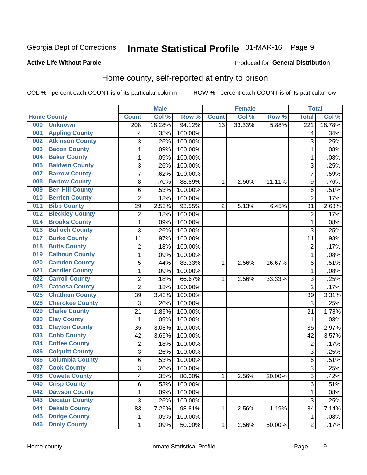## Inmate Statistical Profile 01-MAR-16 Page 9

#### **Active Life Without Parole**

#### Produced for General Distribution

### Home county, self-reported at entry to prison

COL % - percent each COUNT is of its particular column

|     |                        |                  | <b>Male</b> |         |                | <b>Female</b> |        | <b>Total</b>     |        |
|-----|------------------------|------------------|-------------|---------|----------------|---------------|--------|------------------|--------|
|     | <b>Home County</b>     | <b>Count</b>     | Col %       | Row %   | <b>Count</b>   | Col %         | Row %  | <b>Total</b>     | Col %  |
| 000 | <b>Unknown</b>         | $\overline{208}$ | 18.28%      | 94.12%  | 13             | 33.33%        | 5.88%  | $\overline{221}$ | 18.78% |
| 001 | <b>Appling County</b>  | 4                | .35%        | 100.00% |                |               |        | 4                | .34%   |
| 002 | <b>Atkinson County</b> | 3                | .26%        | 100.00% |                |               |        | 3                | .25%   |
| 003 | <b>Bacon County</b>    | 1                | .09%        | 100.00% |                |               |        | 1                | .08%   |
| 004 | <b>Baker County</b>    | 1                | .09%        | 100.00% |                |               |        | 1                | .08%   |
| 005 | <b>Baldwin County</b>  | 3                | .26%        | 100.00% |                |               |        | 3                | .25%   |
| 007 | <b>Barrow County</b>   | $\overline{7}$   | .62%        | 100.00% |                |               |        | $\overline{7}$   | .59%   |
| 008 | <b>Bartow County</b>   | 8                | .70%        | 88.89%  | 1              | 2.56%         | 11.11% | 9                | .76%   |
| 009 | <b>Ben Hill County</b> | 6                | .53%        | 100.00% |                |               |        | 6                | .51%   |
| 010 | <b>Berrien County</b>  | $\overline{2}$   | .18%        | 100.00% |                |               |        | $\overline{2}$   | .17%   |
| 011 | <b>Bibb County</b>     | 29               | 2.55%       | 93.55%  | $\overline{2}$ | 5.13%         | 6.45%  | 31               | 2.63%  |
| 012 | <b>Bleckley County</b> | $\overline{2}$   | .18%        | 100.00% |                |               |        | $\overline{2}$   | .17%   |
| 014 | <b>Brooks County</b>   | 1                | .09%        | 100.00% |                |               |        | 1                | .08%   |
| 016 | <b>Bulloch County</b>  | 3                | .26%        | 100.00% |                |               |        | 3                | .25%   |
| 017 | <b>Burke County</b>    | 11               | .97%        | 100.00% |                |               |        | 11               | .93%   |
| 018 | <b>Butts County</b>    | $\overline{2}$   | .18%        | 100.00% |                |               |        | $\overline{2}$   | .17%   |
| 019 | <b>Calhoun County</b>  | 1                | .09%        | 100.00% |                |               |        | 1                | .08%   |
| 020 | <b>Camden County</b>   | $\sqrt{5}$       | .44%        | 83.33%  | 1              | 2.56%         | 16.67% | 6                | .51%   |
| 021 | <b>Candler County</b>  | 1                | .09%        | 100.00% |                |               |        | 1                | .08%   |
| 022 | <b>Carroll County</b>  | 2                | .18%        | 66.67%  | 1              | 2.56%         | 33.33% | 3                | .25%   |
| 023 | <b>Catoosa County</b>  | $\overline{2}$   | .18%        | 100.00% |                |               |        | $\overline{2}$   | .17%   |
| 025 | <b>Chatham County</b>  | 39               | 3.43%       | 100.00% |                |               |        | 39               | 3.31%  |
| 028 | <b>Cherokee County</b> | 3                | .26%        | 100.00% |                |               |        | 3                | .25%   |
| 029 | <b>Clarke County</b>   | 21               | 1.85%       | 100.00% |                |               |        | 21               | 1.78%  |
| 030 | <b>Clay County</b>     | 1                | .09%        | 100.00% |                |               |        | 1                | .08%   |
| 031 | <b>Clayton County</b>  | 35               | 3.08%       | 100.00% |                |               |        | 35               | 2.97%  |
| 033 | <b>Cobb County</b>     | 42               | 3.69%       | 100.00% |                |               |        | 42               | 3.57%  |
| 034 | <b>Coffee County</b>   | 2                | .18%        | 100.00% |                |               |        | $\overline{2}$   | .17%   |
| 035 | <b>Colquitt County</b> | 3                | .26%        | 100.00% |                |               |        | 3                | .25%   |
| 036 | <b>Columbia County</b> | 6                | .53%        | 100.00% |                |               |        | 6                | .51%   |
| 037 | <b>Cook County</b>     | 3                | .26%        | 100.00% |                |               |        | 3                | .25%   |
| 038 | <b>Coweta County</b>   | 4                | .35%        | 80.00%  | 1              | 2.56%         | 20.00% | 5                | .42%   |
| 040 | <b>Crisp County</b>    | $\,6$            | .53%        | 100.00% |                |               |        | 6                | .51%   |
| 042 | <b>Dawson County</b>   | 1                | .09%        | 100.00% |                |               |        | 1                | .08%   |
| 043 | <b>Decatur County</b>  | 3                | .26%        | 100.00% |                |               |        | 3                | .25%   |
| 044 | <b>Dekalb County</b>   | 83               | 7.29%       | 98.81%  | 1              | 2.56%         | 1.19%  | 84               | 7.14%  |
| 045 | <b>Dodge County</b>    | 1                | .09%        | 100.00% |                |               |        | 1                | .08%   |
| 046 | <b>Dooly County</b>    | $\mathbf 1$      | .09%        | 50.00%  | 1              | 2.56%         | 50.00% | $\overline{2}$   | .17%   |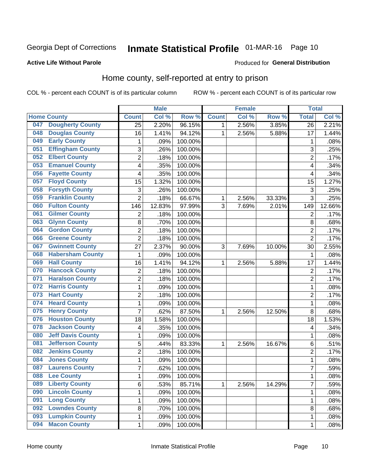## Inmate Statistical Profile 01-MAR-16 Page 10

#### **Active Life Without Parole**

#### Produced for General Distribution

### Home county, self-reported at entry to prison

COL % - percent each COUNT is of its particular column

|     |                          |                           | <b>Male</b> |         |              | <b>Female</b> |        | <b>Total</b>    |        |
|-----|--------------------------|---------------------------|-------------|---------|--------------|---------------|--------|-----------------|--------|
|     | <b>Home County</b>       | <b>Count</b>              | Col %       | Row %   | <b>Count</b> | Col %         | Row %  | <b>Total</b>    | Col %  |
| 047 | <b>Dougherty County</b>  | 25                        | 2.20%       | 96.15%  | 1            | 2.56%         | 3.85%  | $\overline{26}$ | 2.21%  |
| 048 | <b>Douglas County</b>    | 16                        | 1.41%       | 94.12%  | $\mathbf{1}$ | 2.56%         | 5.88%  | 17              | 1.44%  |
| 049 | <b>Early County</b>      | 1                         | .09%        | 100.00% |              |               |        | 1               | .08%   |
| 051 | <b>Effingham County</b>  | 3                         | .26%        | 100.00% |              |               |        | 3               | .25%   |
| 052 | <b>Elbert County</b>     | $\overline{2}$            | .18%        | 100.00% |              |               |        | $\overline{2}$  | .17%   |
| 053 | <b>Emanuel County</b>    | 4                         | .35%        | 100.00% |              |               |        | 4               | .34%   |
| 056 | <b>Fayette County</b>    | 4                         | .35%        | 100.00% |              |               |        | 4               | .34%   |
| 057 | <b>Floyd County</b>      | 15                        | 1.32%       | 100.00% |              |               |        | 15              | 1.27%  |
| 058 | <b>Forsyth County</b>    | $\ensuremath{\mathsf{3}}$ | .26%        | 100.00% |              |               |        | 3               | .25%   |
| 059 | <b>Franklin County</b>   | $\overline{2}$            | .18%        | 66.67%  | 1            | 2.56%         | 33.33% | 3               | .25%   |
| 060 | <b>Fulton County</b>     | 146                       | 12.83%      | 97.99%  | 3            | 7.69%         | 2.01%  | 149             | 12.66% |
| 061 | <b>Gilmer County</b>     | $\overline{2}$            | .18%        | 100.00% |              |               |        | $\overline{2}$  | .17%   |
| 063 | <b>Glynn County</b>      | 8                         | .70%        | 100.00% |              |               |        | 8               | .68%   |
| 064 | <b>Gordon County</b>     | $\overline{c}$            | .18%        | 100.00% |              |               |        | $\overline{2}$  | .17%   |
| 066 | <b>Greene County</b>     | $\overline{2}$            | .18%        | 100.00% |              |               |        | $\overline{2}$  | .17%   |
| 067 | <b>Gwinnett County</b>   | 27                        | 2.37%       | 90.00%  | 3            | 7.69%         | 10.00% | 30              | 2.55%  |
| 068 | <b>Habersham County</b>  | 1                         | .09%        | 100.00% |              |               |        | $\mathbf{1}$    | .08%   |
| 069 | <b>Hall County</b>       | 16                        | 1.41%       | 94.12%  | 1            | 2.56%         | 5.88%  | 17              | 1.44%  |
| 070 | <b>Hancock County</b>    | $\sqrt{2}$                | .18%        | 100.00% |              |               |        | $\overline{2}$  | .17%   |
| 071 | <b>Haralson County</b>   | 2                         | .18%        | 100.00% |              |               |        | $\overline{2}$  | .17%   |
| 072 | <b>Harris County</b>     | 1                         | .09%        | 100.00% |              |               |        | 1               | .08%   |
| 073 | <b>Hart County</b>       | $\overline{c}$            | .18%        | 100.00% |              |               |        | $\overline{2}$  | .17%   |
| 074 | <b>Heard County</b>      | $\mathbf{1}$              | .09%        | 100.00% |              |               |        | $\mathbf{1}$    | .08%   |
| 075 | <b>Henry County</b>      | 7                         | .62%        | 87.50%  | 1            | 2.56%         | 12.50% | 8               | .68%   |
| 076 | <b>Houston County</b>    | 18                        | 1.58%       | 100.00% |              |               |        | 18              | 1.53%  |
| 078 | <b>Jackson County</b>    | 4                         | .35%        | 100.00% |              |               |        | 4               | .34%   |
| 080 | <b>Jeff Davis County</b> | 1                         | .09%        | 100.00% |              |               |        | 1               | .08%   |
| 081 | <b>Jefferson County</b>  | 5                         | .44%        | 83.33%  | $\mathbf{1}$ | 2.56%         | 16.67% | 6               | .51%   |
| 082 | <b>Jenkins County</b>    | $\overline{2}$            | .18%        | 100.00% |              |               |        | $\overline{2}$  | .17%   |
| 084 | <b>Jones County</b>      | 1                         | .09%        | 100.00% |              |               |        | $\mathbf{1}$    | .08%   |
| 087 | <b>Laurens County</b>    | 7                         | .62%        | 100.00% |              |               |        | $\overline{7}$  | .59%   |
| 088 | <b>Lee County</b>        | 1                         | .09%        | 100.00% |              |               |        | $\mathbf{1}$    | .08%   |
| 089 | <b>Liberty County</b>    | 6                         | .53%        | 85.71%  | $\mathbf{1}$ | 2.56%         | 14.29% | $\overline{7}$  | .59%   |
| 090 | <b>Lincoln County</b>    | 1                         | .09%        | 100.00% |              |               |        | 1               | .08%   |
| 091 | <b>Long County</b>       | 1                         | .09%        | 100.00% |              |               |        | 1               | .08%   |
| 092 | <b>Lowndes County</b>    | $\bf 8$                   | .70%        | 100.00% |              |               |        | 8               | .68%   |
| 093 | <b>Lumpkin County</b>    | $\mathbf 1$               | .09%        | 100.00% |              |               |        | $\mathbf{1}$    | .08%   |
| 094 | <b>Macon County</b>      | $\mathbf 1$               | .09%        | 100.00% |              |               |        | $\mathbf{1}$    | .08%   |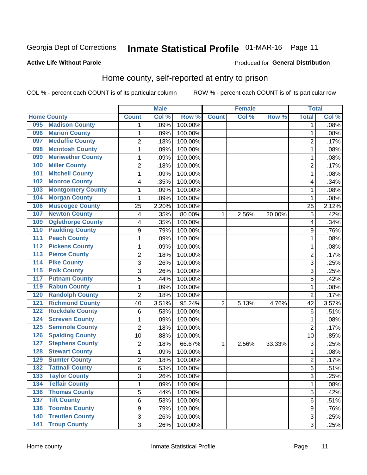## Inmate Statistical Profile 01-MAR-16 Page 11

#### **Active Life Without Parole**

#### Produced for General Distribution

### Home county, self-reported at entry to prison

COL % - percent each COUNT is of its particular column

|                  |                          |                | <b>Male</b> |         | <b>Female</b>  |       | <b>Total</b> |                |       |
|------------------|--------------------------|----------------|-------------|---------|----------------|-------|--------------|----------------|-------|
|                  | <b>Home County</b>       | <b>Count</b>   | Col %       | Row %   | <b>Count</b>   | Col % | Row %        | <b>Total</b>   | Col % |
| 095              | <b>Madison County</b>    | 1              | .09%        | 100.00% |                |       |              | 1              | .08%  |
| 096              | <b>Marion County</b>     | 1              | .09%        | 100.00% |                |       |              | 1              | .08%  |
| 097              | <b>Mcduffie County</b>   | 2              | .18%        | 100.00% |                |       |              | $\overline{c}$ | .17%  |
| 098              | <b>Mcintosh County</b>   | $\mathbf{1}$   | .09%        | 100.00% |                |       |              | 1              | .08%  |
| 099              | <b>Meriwether County</b> | $\mathbf{1}$   | .09%        | 100.00% |                |       |              | 1              | .08%  |
| 100              | <b>Miller County</b>     | $\overline{2}$ | .18%        | 100.00% |                |       |              | $\overline{2}$ | .17%  |
| 101              | <b>Mitchell County</b>   | $\mathbf{1}$   | .09%        | 100.00% |                |       |              | 1              | .08%  |
| 102              | <b>Monroe County</b>     | 4              | .35%        | 100.00% |                |       |              | 4              | .34%  |
| 103              | <b>Montgomery County</b> | 1              | .09%        | 100.00% |                |       |              | 1              | .08%  |
| 104              | <b>Morgan County</b>     | 1              | .09%        | 100.00% |                |       |              | 1              | .08%  |
| 106              | <b>Muscogee County</b>   | 25             | 2.20%       | 100.00% |                |       |              | 25             | 2.12% |
| 107              | <b>Newton County</b>     | 4              | .35%        | 80.00%  | 1              | 2.56% | 20.00%       | 5              | .42%  |
| 109              | <b>Oglethorpe County</b> | 4              | .35%        | 100.00% |                |       |              | 4              | .34%  |
| 110              | <b>Paulding County</b>   | 9              | .79%        | 100.00% |                |       |              | 9              | .76%  |
| 111              | <b>Peach County</b>      | $\mathbf{1}$   | .09%        | 100.00% |                |       |              | 1              | .08%  |
| 112              | <b>Pickens County</b>    | 1              | .09%        | 100.00% |                |       |              | 1              | .08%  |
| 113              | <b>Pierce County</b>     | 2              | .18%        | 100.00% |                |       |              | 2              | .17%  |
| 114              | <b>Pike County</b>       | 3              | .26%        | 100.00% |                |       |              | 3              | .25%  |
| $\overline{115}$ | <b>Polk County</b>       | 3              | .26%        | 100.00% |                |       |              | 3              | .25%  |
| 117              | <b>Putnam County</b>     | 5              | .44%        | 100.00% |                |       |              | 5              | .42%  |
| 119              | <b>Rabun County</b>      | $\mathbf{1}$   | .09%        | 100.00% |                |       |              | 1              | .08%  |
| 120              | <b>Randolph County</b>   | $\overline{2}$ | .18%        | 100.00% |                |       |              | $\overline{2}$ | .17%  |
| 121              | <b>Richmond County</b>   | 40             | 3.51%       | 95.24%  | $\overline{2}$ | 5.13% | 4.76%        | 42             | 3.57% |
| 122              | <b>Rockdale County</b>   | $\,6$          | .53%        | 100.00% |                |       |              | 6              | .51%  |
| 124              | <b>Screven County</b>    | 1              | .09%        | 100.00% |                |       |              | 1              | .08%  |
| 125              | <b>Seminole County</b>   | $\overline{2}$ | .18%        | 100.00% |                |       |              | $\overline{2}$ | .17%  |
| 126              | <b>Spalding County</b>   | 10             | .88%        | 100.00% |                |       |              | 10             | .85%  |
| 127              | <b>Stephens County</b>   | $\overline{2}$ | .18%        | 66.67%  | 1              | 2.56% | 33.33%       | 3              | .25%  |
| 128              | <b>Stewart County</b>    | 1              | .09%        | 100.00% |                |       |              | 1              | .08%  |
| 129              | <b>Sumter County</b>     | $\overline{2}$ | .18%        | 100.00% |                |       |              | $\overline{2}$ | .17%  |
| 132              | <b>Tattnall County</b>   | $6\phantom{1}$ | .53%        | 100.00% |                |       |              | 6              | .51%  |
| 133              | <b>Taylor County</b>     | 3              | .26%        | 100.00% |                |       |              | 3              | .25%  |
| 134              | <b>Telfair County</b>    | $\mathbf{1}$   | .09%        | 100.00% |                |       |              | 1              | .08%  |
| 136              | <b>Thomas County</b>     | 5              | .44%        | 100.00% |                |       |              | 5              | .42%  |
| 137              | <b>Tift County</b>       | $\,6$          | .53%        | 100.00% |                |       |              | 6              | .51%  |
| 138              | <b>Toombs County</b>     | 9              | .79%        | 100.00% |                |       |              | 9              | .76%  |
| 140              | <b>Treutlen County</b>   | 3              | .26%        | 100.00% |                |       |              | 3              | .25%  |
| $\overline{141}$ | <b>Troup County</b>      | 3              | .26%        | 100.00% |                |       |              | 3              | .25%  |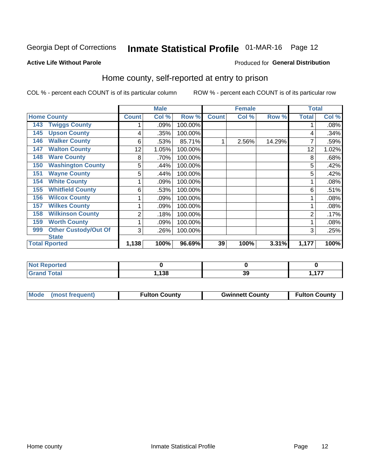## Inmate Statistical Profile 01-MAR-16 Page 12

#### **Active Life Without Parole**

#### Produced for General Distribution

### Home county, self-reported at entry to prison

COL % - percent each COUNT is of its particular column

|     |                                      |              | <b>Male</b> |         |              | <b>Female</b> |        |              | <b>Total</b> |  |
|-----|--------------------------------------|--------------|-------------|---------|--------------|---------------|--------|--------------|--------------|--|
|     | <b>Home County</b>                   | <b>Count</b> | Col %       | Row %   | <b>Count</b> | Col %         | Row %  | <b>Total</b> | Col %        |  |
| 143 | <b>Twiggs County</b>                 |              | .09%        | 100.00% |              |               |        |              | .08%         |  |
| 145 | <b>Upson County</b>                  | 4            | .35%        | 100.00% |              |               |        | 4            | .34%         |  |
| 146 | <b>Walker County</b>                 | 6            | .53%        | 85.71%  |              | 2.56%         | 14.29% |              | .59%         |  |
| 147 | <b>Walton County</b>                 | 12           | 1.05%       | 100.00% |              |               |        | 12           | 1.02%        |  |
| 148 | <b>Ware County</b>                   | 8            | .70%        | 100.00% |              |               |        | 8            | .68%         |  |
| 150 | <b>Washington County</b>             | 5            | .44%        | 100.00% |              |               |        | 5            | .42%         |  |
| 151 | <b>Wayne County</b>                  | 5            | .44%        | 100.00% |              |               |        | 5            | .42%         |  |
| 154 | <b>White County</b>                  |              | .09%        | 100.00% |              |               |        |              | .08%         |  |
| 155 | <b>Whitfield County</b>              | 6            | .53%        | 100.00% |              |               |        | 6            | .51%         |  |
| 156 | <b>Wilcox County</b>                 |              | .09%        | 100.00% |              |               |        |              | .08%         |  |
| 157 | <b>Wilkes County</b>                 |              | .09%        | 100.00% |              |               |        |              | .08%         |  |
| 158 | <b>Wilkinson County</b>              | 2            | .18%        | 100.00% |              |               |        | 2            | .17%         |  |
| 159 | <b>Worth County</b>                  | 1            | .09%        | 100.00% |              |               |        |              | .08%         |  |
| 999 | <b>Other Custody/Out Of</b>          | 3            | .26%        | 100.00% |              |               |        | 3            | .25%         |  |
|     | <b>State</b><br><b>Total Rported</b> | 1,138        | 100%        | 96.69%  | 39           | 100%          | 3.31%  | 1,177        | 100%         |  |

| . Reported<br>$\cdots$ |      |     |     |
|------------------------|------|-----|-----|
| <b>otal</b>            | 100  | - - | --- |
|                        | טט ו | ડડ  | .   |

| Mode (most frequent)<br><b>Fulton County</b><br><b>Gwinnett County</b> | <b>Fulton County</b> |
|------------------------------------------------------------------------|----------------------|
|------------------------------------------------------------------------|----------------------|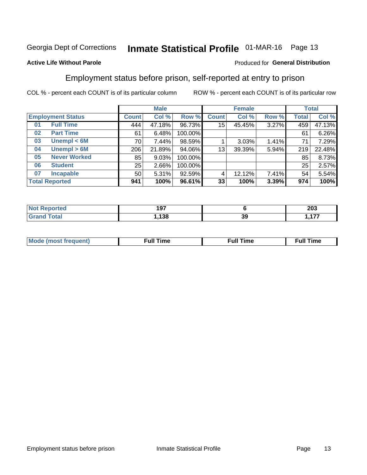## Inmate Statistical Profile 01-MAR-16 Page 13

#### **Active Life Without Parole**

#### Produced for General Distribution

### Employment status before prison, self-reported at entry to prison

COL % - percent each COUNT is of its particular column

|                          |                                                               | <b>Male</b>  |        |         | <b>Female</b> |        |       | <b>Total</b> |        |
|--------------------------|---------------------------------------------------------------|--------------|--------|---------|---------------|--------|-------|--------------|--------|
| <b>Employment Status</b> |                                                               | <b>Count</b> | Col %  | Row %   | <b>Count</b>  | Col %  | Row % | <b>Total</b> | Col %  |
| 01                       | <b>Full Time</b>                                              | 444          | 47.18% | 96.73%  | 15            | 45.45% | 3.27% | 459          | 47.13% |
| 02                       | <b>Part Time</b>                                              | 61           | 6.48%  | 100.00% |               |        |       | 61           | 6.26%  |
| 03                       | Unempl $<$ 6M                                                 | 70           | 7.44%  | 98.59%  |               | 3.03%  | 1.41% | 71           | 7.29%  |
| 04                       | Unempl > 6M                                                   | 206          | 21.89% | 94.06%  | 13            | 39.39% | 5.94% | 219          | 22.48% |
| 05                       | <b>Never Worked</b>                                           | 85           | 9.03%  | 100.00% |               |        |       | 85           | 8.73%  |
| 06                       | <b>Student</b>                                                | 25           | 2.66%  | 100.00% |               |        |       | 25           | 2.57%  |
| 07                       | <b>Incapable</b>                                              | 50           | 5.31%  | 92.59%  | 4             | 12.12% | 7.41% | 54           | 5.54%  |
|                          | <b>Total Reported</b><br>33 <br>100%<br>100%<br>96.61%<br>941 |              | 3.39%  | 974     | 100%          |        |       |              |        |

| u au | 197 |    | 203     |
|------|-----|----|---------|
|      | 138 | 39 | --<br>. |

| Mc | ∴ull | ----<br>ıme<br>w |
|----|------|------------------|
|    |      |                  |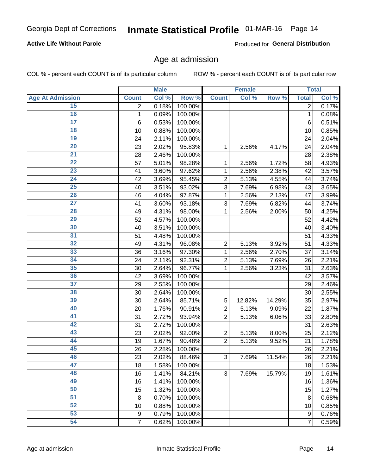#### **Active Life Without Parole**

Produced for General Distribution

### Age at admission

COL % - percent each COUNT is of its particular column

|                         |                 | <b>Male</b> |         |                | <b>Female</b> |        |                  | <b>Total</b> |
|-------------------------|-----------------|-------------|---------|----------------|---------------|--------|------------------|--------------|
| <b>Age At Admission</b> | <b>Count</b>    | Col %       | Row %   | <b>Count</b>   | Col %         | Row %  | <b>Total</b>     | Col %        |
| 15                      | 2               | 0.18%       | 100.00% |                |               |        | 2                | 0.17%        |
| 16                      | 1               | 0.09%       | 100.00% |                |               |        | $\mathbf{1}$     | 0.08%        |
| $\overline{17}$         | $6\phantom{1}6$ | 0.53%       | 100.00% |                |               |        | 6                | 0.51%        |
| 18                      | 10              | 0.88%       | 100.00% |                |               |        | 10               | 0.85%        |
| 19                      | 24              | 2.11%       | 100.00% |                |               |        | 24               | 2.04%        |
| $\overline{20}$         | 23              | 2.02%       | 95.83%  | 1              | 2.56%         | 4.17%  | 24               | 2.04%        |
| 21                      | 28              | 2.46%       | 100.00% |                |               |        | 28               | 2.38%        |
| 22                      | 57              | 5.01%       | 98.28%  | 1              | 2.56%         | 1.72%  | 58               | 4.93%        |
| 23                      | 41              | 3.60%       | 97.62%  | 1              | 2.56%         | 2.38%  | 42               | 3.57%        |
| 24                      | 42              | 3.69%       | 95.45%  | $\overline{2}$ | 5.13%         | 4.55%  | 44               | 3.74%        |
| $\overline{25}$         | 40              | 3.51%       | 93.02%  | 3              | 7.69%         | 6.98%  | 43               | 3.65%        |
| 26                      | 46              | 4.04%       | 97.87%  | 1              | 2.56%         | 2.13%  | 47               | 3.99%        |
| $\overline{27}$         | 41              | 3.60%       | 93.18%  | 3              | 7.69%         | 6.82%  | 44               | 3.74%        |
| 28                      | 49              | 4.31%       | 98.00%  | 1              | 2.56%         | 2.00%  | 50               | 4.25%        |
| 29                      | 52              | 4.57%       | 100.00% |                |               |        | 52               | 4.42%        |
| 30                      | 40              | 3.51%       | 100.00% |                |               |        | 40               | 3.40%        |
| 31                      | 51              | 4.48%       | 100.00% |                |               |        | 51               | 4.33%        |
| 32                      | 49              | 4.31%       | 96.08%  | $\overline{c}$ | 5.13%         | 3.92%  | 51               | 4.33%        |
| 33                      | 36              | 3.16%       | 97.30%  | 1              | 2.56%         | 2.70%  | 37               | 3.14%        |
| 34                      | 24              | 2.11%       | 92.31%  | $\overline{2}$ | 5.13%         | 7.69%  | 26               | 2.21%        |
| 35                      | 30              | 2.64%       | 96.77%  | 1              | 2.56%         | 3.23%  | 31               | 2.63%        |
| 36                      | 42              | 3.69%       | 100.00% |                |               |        | 42               | 3.57%        |
| $\overline{37}$         | 29              | 2.55%       | 100.00% |                |               |        | 29               | 2.46%        |
| 38                      | 30              | 2.64%       | 100.00% |                |               |        | 30               | 2.55%        |
| 39                      | 30              | 2.64%       | 85.71%  | 5              | 12.82%        | 14.29% | 35               | 2.97%        |
| 40                      | 20              | 1.76%       | 90.91%  | $\overline{2}$ | 5.13%         | 9.09%  | 22               | 1.87%        |
| 41                      | 31              | 2.72%       | 93.94%  | $\overline{2}$ | 5.13%         | 6.06%  | 33               | 2.80%        |
| 42                      | 31              | 2.72%       | 100.00% |                |               |        | 31               | 2.63%        |
| 43                      | 23              | 2.02%       | 92.00%  | $\overline{2}$ | 5.13%         | 8.00%  | 25               | 2.12%        |
| 44                      | 19              | 1.67%       | 90.48%  | $\overline{2}$ | 5.13%         | 9.52%  | 21               | 1.78%        |
| 45                      | 26              | 2.28%       | 100.00% |                |               |        | 26               | 2.21%        |
| 46                      | 23              | 2.02%       | 88.46%  | 3              | 7.69%         | 11.54% | 26               | 2.21%        |
| 47                      | 18              | 1.58%       | 100.00% |                |               |        | 18               | 1.53%        |
| 48                      | 16              | 1.41%       | 84.21%  | 3              | 7.69%         | 15.79% | 19               | 1.61%        |
| 49                      | 16              | 1.41%       | 100.00% |                |               |        | 16               | 1.36%        |
| 50                      | 15              | 1.32%       | 100.00% |                |               |        | 15               | 1.27%        |
| $\overline{51}$         | 8               | 0.70%       | 100.00% |                |               |        | 8                | 0.68%        |
| 52                      | 10              | 0.88%       | 100.00% |                |               |        | 10               | 0.85%        |
| 53                      | 9               | 0.79%       | 100.00% |                |               |        | $\boldsymbol{9}$ | 0.76%        |
| 54                      | $\overline{7}$  | 0.62%       | 100.00% |                |               |        | 7                | 0.59%        |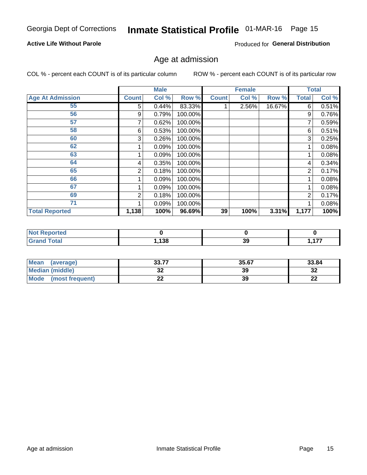## Inmate Statistical Profile 01-MAR-16 Page 15

#### **Active Life Without Parole**

Produced for General Distribution

### Age at admission

COL % - percent each COUNT is of its particular column

|                         |              | <b>Male</b> |         |              | <b>Female</b> |        |                | <b>Total</b> |
|-------------------------|--------------|-------------|---------|--------------|---------------|--------|----------------|--------------|
| <b>Age At Admission</b> | <b>Count</b> | Col %       | Row %   | <b>Count</b> | Col %         | Row %  | <b>Total</b>   | Col %        |
| 55                      | 5.           | 0.44%       | 83.33%  |              | 2.56%         | 16.67% | 6              | 0.51%        |
| 56                      | 9            | 0.79%       | 100.00% |              |               |        | 9              | 0.76%        |
| 57                      |              | 0.62%       | 100.00% |              |               |        | 7              | 0.59%        |
| 58                      | 6            | 0.53%       | 100.00% |              |               |        | 6              | 0.51%        |
| 60                      | 3            | 0.26%       | 100.00% |              |               |        | 3              | 0.25%        |
| 62                      |              | 0.09%       | 100.00% |              |               |        |                | 0.08%        |
| 63                      |              | 0.09%       | 100.00% |              |               |        |                | 0.08%        |
| 64                      | 4            | 0.35%       | 100.00% |              |               |        | 4              | 0.34%        |
| 65                      | 2            | 0.18%       | 100.00% |              |               |        | $\overline{2}$ | 0.17%        |
| 66                      |              | 0.09%       | 100.00% |              |               |        |                | 0.08%        |
| 67                      |              | 0.09%       | 100.00% |              |               |        |                | 0.08%        |
| 69                      | 2            | 0.18%       | 100.00% |              |               |        | 2              | 0.17%        |
| 71                      |              | 0.09%       | 100.00% |              |               |        |                | 0.08%        |
| <b>Total Reported</b>   | 1,138        | 100%        | 96.69%  | 39           | 100%          | 3.31%  | 1,177          | 100%         |

| <b>Not Reported</b> |      |    |          |
|---------------------|------|----|----------|
| <b>Grand Total</b>  | ,138 | 39 | ィップ<br>. |

| <b>Mean</b><br>(average) | 22.77<br>JJ.I I | 35.67 | 33.84    |
|--------------------------|-----------------|-------|----------|
| Median (middle)          | JZ              | 39    | ົາ<br>∠د |
| Mode<br>(most frequent)  | --              | 39    | n.<br>LL |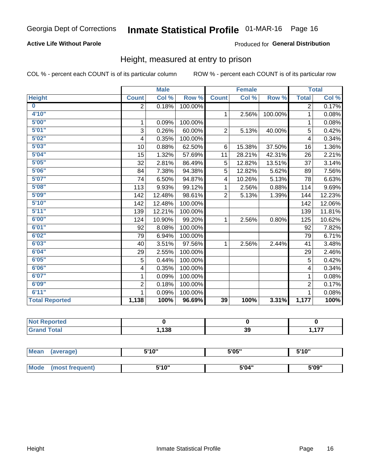#### **Active Life Without Parole**

#### Produced for General Distribution

### Height, measured at entry to prison

COL % - percent each COUNT is of its particular column

|                       |                | <b>Male</b> |         |                | <b>Female</b> |         |                | <b>Total</b> |
|-----------------------|----------------|-------------|---------|----------------|---------------|---------|----------------|--------------|
| <b>Height</b>         | <b>Count</b>   | Col %       | Row %   | <b>Count</b>   | Col %         | Row %   | <b>Total</b>   | Col %        |
| $\bf{0}$              | 2              | 0.18%       | 100.00% |                |               |         | $\overline{2}$ | 0.17%        |
| 4'10"                 |                |             |         | $\mathbf{1}$   | 2.56%         | 100.00% | 1              | 0.08%        |
| 5'00''                | 1              | 0.09%       | 100.00% |                |               |         | 1              | 0.08%        |
| 5'01"                 | 3              | 0.26%       | 60.00%  | $\overline{2}$ | 5.13%         | 40.00%  | 5              | 0.42%        |
| 5'02"                 | 4              | 0.35%       | 100.00% |                |               |         | 4              | 0.34%        |
| 5'03''                | 10             | 0.88%       | 62.50%  | 6              | 15.38%        | 37.50%  | 16             | 1.36%        |
| 5'04"                 | 15             | 1.32%       | 57.69%  | 11             | 28.21%        | 42.31%  | 26             | 2.21%        |
| 5'05"                 | 32             | 2.81%       | 86.49%  | 5              | 12.82%        | 13.51%  | 37             | 3.14%        |
| 5'06''                | 84             | 7.38%       | 94.38%  | 5              | 12.82%        | 5.62%   | 89             | 7.56%        |
| 5'07"                 | 74             | 6.50%       | 94.87%  | 4              | 10.26%        | 5.13%   | 78             | 6.63%        |
| 5'08''                | 113            | 9.93%       | 99.12%  | 1              | 2.56%         | 0.88%   | 114            | 9.69%        |
| 5'09''                | 142            | 12.48%      | 98.61%  | $\overline{2}$ | 5.13%         | 1.39%   | 144            | 12.23%       |
| 5'10''                | 142            | 12.48%      | 100.00% |                |               |         | 142            | 12.06%       |
| 5'11''                | 139            | 12.21%      | 100.00% |                |               |         | 139            | 11.81%       |
| 6'00''                | 124            | 10.90%      | 99.20%  | 1              | 2.56%         | 0.80%   | 125            | 10.62%       |
| 6'01''                | 92             | 8.08%       | 100.00% |                |               |         | 92             | 7.82%        |
| 6'02"                 | 79             | 6.94%       | 100.00% |                |               |         | 79             | 6.71%        |
| 6'03''                | 40             | 3.51%       | 97.56%  | $\mathbf{1}$   | 2.56%         | 2.44%   | 41             | 3.48%        |
| 6'04"                 | 29             | 2.55%       | 100.00% |                |               |         | 29             | 2.46%        |
| 6'05"                 | 5              | 0.44%       | 100.00% |                |               |         | 5              | 0.42%        |
| 6'06''                | 4              | 0.35%       | 100.00% |                |               |         | 4              | 0.34%        |
| 6'07''                | 1              | 0.09%       | 100.00% |                |               |         | 1              | 0.08%        |
| 6'09''                | $\overline{2}$ | 0.18%       | 100.00% |                |               |         | $\overline{2}$ | 0.17%        |
| 6'11''                | 1              | 0.09%       | 100.00% |                |               |         |                | 0.08%        |
| <b>Total Reported</b> | 1,138          | 100%        | 96.69%  | 39             | 100%          | 3.31%   | 1,177          | 100%         |

| rtea<br>.<br>                             |      |    |                          |
|-------------------------------------------|------|----|--------------------------|
| $f \wedge f \wedge f$<br>------<br>______ | ,138 | 39 | $\overline{\phantom{a}}$ |

| <b>Mean</b> | (average)       | 5'10" | 5'05" | 5'10"<br>J |
|-------------|-----------------|-------|-------|------------|
|             |                 |       |       |            |
| <b>Mode</b> | (most frequent) | 5'10" | 5'04" | 5'09"      |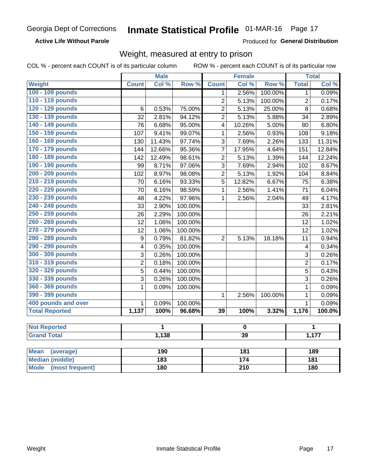**Active Life Without Parole** 

Produced for General Distribution

### Weight, measured at entry to prison

COL % - percent each COUNT is of its particular column

|                          |                | <b>Male</b> |         |                 | <b>Female</b>   |         |                         | <b>Total</b> |
|--------------------------|----------------|-------------|---------|-----------------|-----------------|---------|-------------------------|--------------|
| <b>Weight</b>            | <b>Count</b>   | Col %       | Row %   | <b>Count</b>    | Col %           | Row %   | <b>Total</b>            | Col %        |
| 100 - 109 pounds         |                |             |         | 1               | 2.56%           | 100.00% | $\mathbf{1}$            | 0.09%        |
| 110 - 119 pounds         |                |             |         | $\overline{2}$  | 5.13%           | 100.00% | $\overline{2}$          | 0.17%        |
| 120 - 129 pounds         | $\,6$          | 0.53%       | 75.00%  | $\overline{2}$  | 5.13%           | 25.00%  | 8                       | 0.68%        |
| 130 - 139 pounds         | 32             | 2.81%       | 94.12%  | $\overline{2}$  | 5.13%           | 5.88%   | 34                      | 2.89%        |
| 140 - 149 pounds         | 76             | 6.68%       | 95.00%  | 4               | 10.26%          | 5.00%   | 80                      | 6.80%        |
| 150 - 159 pounds         | 107            | 9.41%       | 99.07%  | 1               | 2.56%           | 0.93%   | 108                     | 9.18%        |
| 160 - 169 pounds         | 130            | 11.43%      | 97.74%  | 3               | 7.69%           | 2.26%   | 133                     | 11.31%       |
| 170 - 179 pounds         | 144            | 12.66%      | 95.36%  | $\overline{7}$  | 17.95%          | 4.64%   | 151                     | 12.84%       |
| 180 - 189 pounds         | 142            | 12.49%      | 98.61%  | $\overline{2}$  | 5.13%           | 1.39%   | 144                     | 12.24%       |
| 190 - 199 pounds         | 99             | 8.71%       | 97.06%  | 3               | 7.69%           | 2.94%   | 102                     | 8.67%        |
| 200 - 209 pounds         | 102            | 8.97%       | 98.08%  | $\overline{2}$  | 5.13%           | 1.92%   | 104                     | 8.84%        |
| 210 - 219 pounds         | 70             | 6.16%       | 93.33%  | 5               | 12.82%          | 6.67%   | 75                      | 6.38%        |
| 220 - 229 pounds         | 70             | 6.16%       | 98.59%  | 1               | 2.56%           | 1.41%   | 71                      | 6.04%        |
| 230 - 239 pounds         | 48             | 4.22%       | 97.96%  | $\mathbf{1}$    | 2.56%           | 2.04%   | 49                      | 4.17%        |
| 240 - 249 pounds         | 33             | 2.90%       | 100.00% |                 |                 |         | 33                      | 2.81%        |
| 250 - 259 pounds         | 26             | 2.29%       | 100.00% |                 |                 |         | 26                      | 2.21%        |
| 260 - 269 pounds         | 12             | 1.06%       | 100.00% |                 |                 |         | 12                      | 1.02%        |
| 270 - 279 pounds         | 12             | 1.06%       | 100.00% |                 |                 |         | 12                      | 1.02%        |
| 280 - 289 pounds         | 9              | 0.79%       | 81.82%  | $\overline{2}$  | 5.13%           | 18.18%  | 11                      | 0.94%        |
| 290 - 299 pounds         | 4              | 0.35%       | 100.00% |                 |                 |         | $\overline{\mathbf{4}}$ | 0.34%        |
| 300 - 309 pounds         | 3              | 0.26%       | 100.00% |                 |                 |         | 3                       | 0.26%        |
| 310 - 319 pounds         | $\overline{c}$ | 0.18%       | 100.00% |                 |                 |         | $\overline{c}$          | 0.17%        |
| 320 - 329 pounds         | $\overline{5}$ | 0.44%       | 100.00% |                 |                 |         | $\overline{5}$          | 0.43%        |
| 330 - 339 pounds         | $\overline{3}$ | 0.26%       | 100.00% |                 |                 |         | $\overline{3}$          | 0.26%        |
| 360 - 369 pounds         | 1              | 0.09%       | 100.00% |                 |                 |         | $\mathbf{1}$            | 0.09%        |
| 390 - 399 pounds         |                |             |         | $\mathbf{1}$    | 2.56%           | 100.00% | $\mathbf{1}$            | 0.09%        |
| 400 pounds and over      | $\mathbf{1}$   | 0.09%       | 100.00% |                 |                 |         | $\mathbf{1}$            | 0.09%        |
| <b>Total Reported</b>    | 1,137          | 100%        | 96.68%  | $\overline{39}$ | 100%            | 3.32%   | 1,176                   | 100.0%       |
|                          |                |             |         |                 |                 |         |                         |              |
| <b>Not Reported</b>      |                | 1           |         | $\pmb{0}$       |                 |         | 1                       |              |
| <b>Grand Total</b>       |                | 1,138       |         |                 | $\overline{39}$ |         |                         | 1,177        |
| <b>Mean</b><br>(average) |                | 190         |         |                 | 181             |         |                         | 189          |

| Mean<br>(average)       | 190 | 181 | 189 |
|-------------------------|-----|-----|-----|
| Median (middle)         | 183 | 174 | 181 |
| Mode<br>(most frequent) | 180 | 210 | 180 |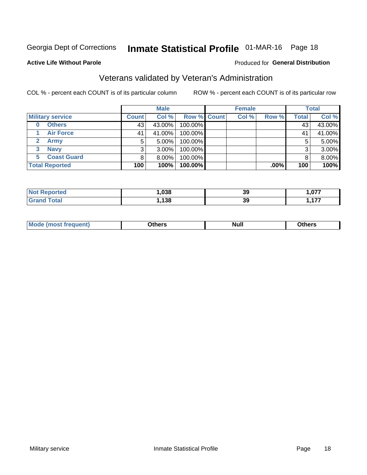## Inmate Statistical Profile 01-MAR-16 Page 18

#### **Active Life Without Parole**

#### Produced for General Distribution

## Veterans validated by Veteran's Administration

COL % - percent each COUNT is of its particular column

|                           |              | <b>Male</b> |                    |  | <b>Female</b> |         |       | <b>Total</b> |  |
|---------------------------|--------------|-------------|--------------------|--|---------------|---------|-------|--------------|--|
| <b>Military service</b>   | <b>Count</b> | Col %       | <b>Row % Count</b> |  | Col %         | Row %   | Total | Col %        |  |
| <b>Others</b><br>$\bf{0}$ | 43           | 43.00%      | 100.00%            |  |               |         | 43    | 43.00%       |  |
| <b>Air Force</b>          | 41           | 41.00%      | 100.00%            |  |               |         | 41    | 41.00%       |  |
| <b>Army</b><br>2          | 5            | $5.00\%$    | 100.00%            |  |               |         | 5     | 5.00%        |  |
| <b>Navy</b><br>3          | 3            | $3.00\%$    | 100.00%            |  |               |         | 3     | 3.00%        |  |
| <b>Coast Guard</b>        |              | $8.00\%$    | 100.00%            |  |               |         |       | 8.00%        |  |
| <b>Total Reported</b>     | 100          | 100%        | 100.00%            |  |               | $.00\%$ | 100   | 100%         |  |

| rteo        | .038         | 39 | 077<br>I .V / 1 |
|-------------|--------------|----|-----------------|
| $F = 4 - F$ | 128<br>4 J C | 39 | ---<br>.        |

| Mo<br><b>Null</b><br>วthers<br>______<br>____<br>____ |
|-------------------------------------------------------|
|-------------------------------------------------------|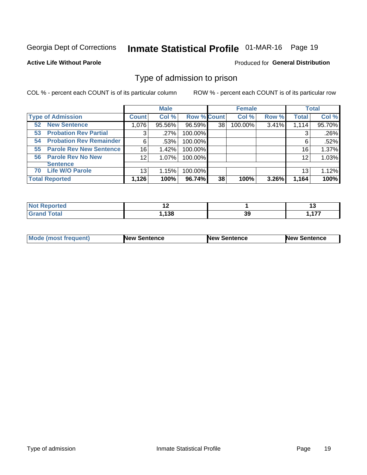## Inmate Statistical Profile 01-MAR-16 Page 19

#### **Active Life Without Parole**

#### Produced for General Distribution

### Type of admission to prison

COL % - percent each COUNT is of its particular column

|                                      |                 | <b>Male</b> |                    |    | <b>Female</b> |       |              | <b>Total</b> |
|--------------------------------------|-----------------|-------------|--------------------|----|---------------|-------|--------------|--------------|
| <b>Type of Admission</b>             | <b>Count</b>    | Col %       | <b>Row % Count</b> |    | Col %         | Row % | <b>Total</b> | Col %        |
| <b>New Sentence</b><br>52            | 1,076           | 95.56%      | 96.59%             | 38 | 100.00%       | 3.41% | 1,114        | 95.70%       |
| <b>Probation Rev Partial</b><br>53   | 3               | .27%        | 100.00%            |    |               |       | 3            | .26%         |
| <b>Probation Rev Remainder</b><br>54 | 6               | .53%        | 100.00%            |    |               |       | 6            | .52%         |
| <b>Parole Rev New Sentence</b><br>55 | 16              | 1.42%       | 100.00%            |    |               |       | 16           | 1.37%        |
| <b>Parole Rev No New</b><br>56       | 12 <sub>2</sub> | 1.07%       | 100.00%            |    |               |       | 12           | 1.03%        |
| <b>Sentence</b>                      |                 |             |                    |    |               |       |              |              |
| <b>Life W/O Parole</b><br>70         | 13              | 1.15%       | 100.00%            |    |               |       | 13           | 1.12%        |
| <b>Total Reported</b>                | 1,126           | 100%        | 96.74%             | 38 | 100%          | 3.26% | 1,164        | 100%         |

| Reported<br>' NOT |     |    | ש        |
|-------------------|-----|----|----------|
| <b>Total</b>      | 120 | 39 | ィラフ<br>. |

| <b>Mode (most frequent)</b> | <b>New Sentence</b> | <b>New Sentence</b> | <b>New Sentence</b> |
|-----------------------------|---------------------|---------------------|---------------------|
|                             |                     |                     |                     |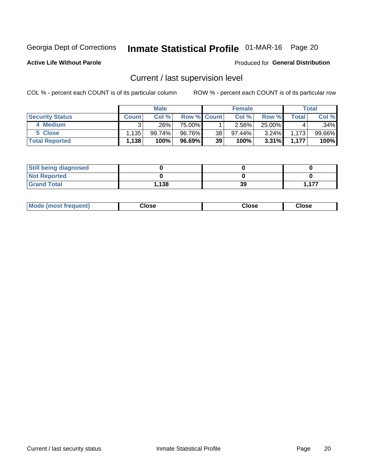## Inmate Statistical Profile 01-MAR-16 Page 20

**Active Life Without Parole** 

#### **Produced for General Distribution**

## Current / last supervision level

COL % - percent each COUNT is of its particular column

|                        |              | <b>Male</b> |             |                 | <b>Female</b> |          |       | <b>Total</b> |
|------------------------|--------------|-------------|-------------|-----------------|---------------|----------|-------|--------------|
| <b>Security Status</b> | <b>Count</b> | Col %       | Row % Count |                 | Col %         | Row %    | Total | Col %        |
| 4 Medium               |              | ل26%.       | 75.00%      |                 | $2.56\%$      | 25.00%   |       | .34%         |
| 5 Close                | .135         | 99.74%।     | 96.76%      | 38 <sub>1</sub> | 97.44%        | $3.24\%$ | 1,173 | $99.66\%$    |
| <b>Total Reported</b>  | 1,138        | 100%        | 96.69%      | 39              | 100%          | $3.31\%$ | 1.177 | 100%         |

| <b>Still being diagnosed</b> |       |    |       |
|------------------------------|-------|----|-------|
| <b>Not Reported</b>          |       |    |       |
| <b>Grand Total</b>           | 1,138 | 39 | -4.77 |

| <b>Mode (most frequent)</b> | Close | ∵lose | Close |
|-----------------------------|-------|-------|-------|
|                             |       |       |       |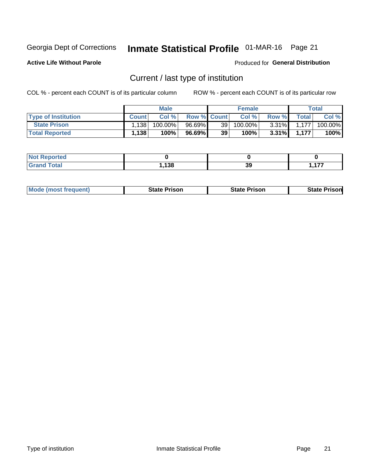## Inmate Statistical Profile 01-MAR-16 Page 21

**Active Life Without Parole** 

Produced for General Distribution

## Current / last type of institution

COL % - percent each COUNT is of its particular column

|                            |              | <b>Male</b> |                    |                 | <b>Female</b> |          |       | <b>Total</b> |
|----------------------------|--------------|-------------|--------------------|-----------------|---------------|----------|-------|--------------|
| <b>Type of Institution</b> | <b>Count</b> | Col%        | <b>Row % Count</b> |                 | Col %         | Row %    | Total | Col %        |
| <b>State Prison</b>        | 1,138        | 100.00%     | 96.69%             | 39 <sub>1</sub> | 100.00%       | $3.31\%$ | 1.177 | 100.00%      |
| <b>Total Reported</b>      | 1,138        | 100%        | $96.69\%$          | 39              | $100\%$ .     | $3.31\%$ | 1.177 | 100%         |

| <b>rted</b><br>. |            |    |                    |
|------------------|------------|----|--------------------|
|                  | 120<br>190 | 39 | $\rightarrow$<br>. |

|  | <b>Mode (most frequent)</b> | State Prison | <b>State Prison</b> | <b>State Prison</b> |
|--|-----------------------------|--------------|---------------------|---------------------|
|--|-----------------------------|--------------|---------------------|---------------------|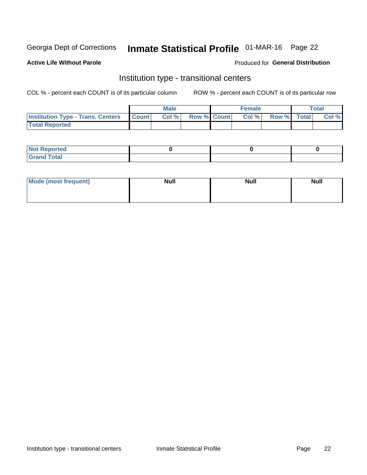## Inmate Statistical Profile 01-MAR-16 Page 22

#### **Active Life Without Parole**

#### Produced for General Distribution

### Institution type - transitional centers

COL % - percent each COUNT is of its particular column

|                                                  | <b>Male</b> |                    | <b>Female</b> |             | Total |
|--------------------------------------------------|-------------|--------------------|---------------|-------------|-------|
| <b>Institution Type - Trans. Centers Count  </b> | Col%        | <b>Row % Count</b> | Col %         | Row % Total | Col % |
| <b>Total Reported</b>                            |             |                    |               |             |       |

| <b>Reported</b><br><b>NOT</b><br>$\sim$            |  |  |
|----------------------------------------------------|--|--|
| $f$ $f \circ f \circ f$<br>$C = 1$<br><b>TULAI</b> |  |  |

| Mode (most frequent) | <b>Null</b> | <b>Null</b> | <b>Null</b> |
|----------------------|-------------|-------------|-------------|
|                      |             |             |             |
|                      |             |             |             |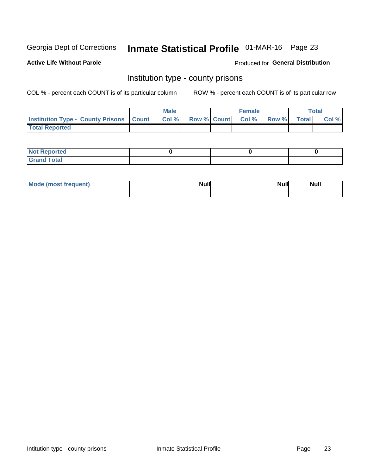## Inmate Statistical Profile 01-MAR-16 Page 23

**Active Life Without Parole** 

**Produced for General Distribution** 

### Institution type - county prisons

COL % - percent each COUNT is of its particular column

|                                                    | <b>Male</b> |  | <b>Female</b>            |             | <b>Total</b> |
|----------------------------------------------------|-------------|--|--------------------------|-------------|--------------|
| <b>Institution Type - County Prisons   Count  </b> | Col %       |  | <b>Row % Count Col %</b> | Row % Total | Col %        |
| <b>Total Reported</b>                              |             |  |                          |             |              |

| <b>Not Reported</b>   |  |  |
|-----------------------|--|--|
| <b>Total</b><br>Granc |  |  |

| Mode (most frequent) | <b>Null</b> | <b>Null</b><br><b>Null</b> |
|----------------------|-------------|----------------------------|
|                      |             |                            |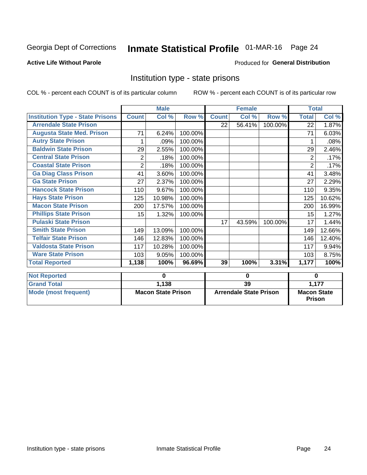## Inmate Statistical Profile 01-MAR-16 Page 24

#### **Active Life Without Parole**

#### Produced for General Distribution

### Institution type - state prisons

COL % - percent each COUNT is of its particular column

|                                         |                | <b>Male</b>               |         |              | <b>Female</b>                 |         | <b>Total</b>                        |          |
|-----------------------------------------|----------------|---------------------------|---------|--------------|-------------------------------|---------|-------------------------------------|----------|
| <b>Institution Type - State Prisons</b> | <b>Count</b>   | $\overline{\text{Col}}$ % | Row %   | <b>Count</b> | Col %                         | Row %   | <b>Total</b>                        | Col %    |
| <b>Arrendale State Prison</b>           |                |                           |         | 22           | 56.41%                        | 100.00% | 22                                  | 1.87%    |
| <b>Augusta State Med. Prison</b>        | 71             | 6.24%                     | 100.00% |              |                               |         | 71                                  | 6.03%    |
| <b>Autry State Prison</b>               | 1              | .09%                      | 100.00% |              |                               |         |                                     | .08%     |
| <b>Baldwin State Prison</b>             | 29             | 2.55%                     | 100.00% |              |                               |         | 29                                  | 2.46%    |
| <b>Central State Prison</b>             | $\overline{2}$ | .18%                      | 100.00% |              |                               |         | 2                                   | .17%     |
| <b>Coastal State Prison</b>             | $\overline{2}$ | .18%                      | 100.00% |              |                               |         | $\overline{2}$                      | .17%     |
| <b>Ga Diag Class Prison</b>             | 41             | 3.60%                     | 100.00% |              |                               |         | 41                                  | 3.48%    |
| <b>Ga State Prison</b>                  | 27             | 2.37%                     | 100.00% |              |                               |         | 27                                  | 2.29%    |
| <b>Hancock State Prison</b>             | 110            | 9.67%                     | 100.00% |              |                               |         | 110                                 | 9.35%    |
| <b>Hays State Prison</b>                | 125            | 10.98%                    | 100.00% |              |                               |         | 125                                 | 10.62%   |
| <b>Macon State Prison</b>               | 200            | 17.57%                    | 100.00% |              |                               |         | 200                                 | 16.99%   |
| <b>Phillips State Prison</b>            | 15             | 1.32%                     | 100.00% |              |                               |         | 15                                  | 1.27%    |
| <b>Pulaski State Prison</b>             |                |                           |         | 17           | 43.59%                        | 100.00% | 17                                  | 1.44%    |
| <b>Smith State Prison</b>               | 149            | 13.09%                    | 100.00% |              |                               |         | 149                                 | 12.66%   |
| <b>Telfair State Prison</b>             | 146            | 12.83%                    | 100.00% |              |                               |         | 146                                 | 12.40%   |
| <b>Valdosta State Prison</b>            | 117            | 10.28%                    | 100.00% |              |                               |         | 117                                 | 9.94%    |
| <b>Ware State Prison</b>                | 103            | 9.05%                     | 100.00% |              |                               |         | 103                                 | 8.75%    |
| <b>Total Reported</b>                   | 1,138          | 100%                      | 96.69%  | 39           | 100%                          | 3.31%   | 1,177                               | 100%     |
| <b>Not Reported</b>                     |                | $\bf{0}$                  |         |              | $\bf{0}$                      |         |                                     | $\bf{0}$ |
| <b>Grand Total</b>                      |                | 1,138                     |         | 39           |                               |         |                                     | 1,177    |
| <b>Mode (most frequent)</b>             |                | <b>Macon State Prison</b> |         |              | <b>Arrendale State Prison</b> |         | <b>Macon State</b><br><b>Prison</b> |          |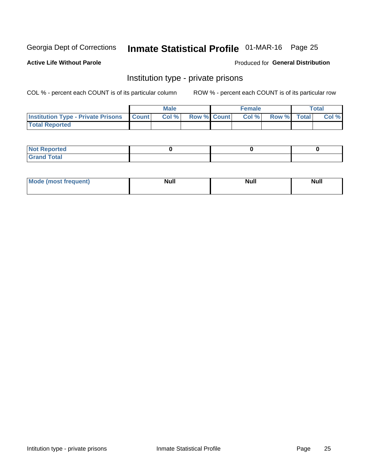## Inmate Statistical Profile 01-MAR-16 Page 25

**Active Life Without Parole** 

Produced for General Distribution

### Institution type - private prisons

COL % - percent each COUNT is of its particular column

|                                                     | <b>Male</b> |                    | <b>Female</b> |             | Total |
|-----------------------------------------------------|-------------|--------------------|---------------|-------------|-------|
| <b>Institution Type - Private Prisons   Count  </b> | Col%        | <b>Row % Count</b> | Col %         | Row % Total | Col % |
| <b>Total Reported</b>                               |             |                    |               |             |       |

| Not Reported           |  |  |
|------------------------|--|--|
| <b>Cotal</b><br>______ |  |  |

| <b>Mo</b><br>frequent) | <b>Null</b> | <b>Null</b> | . . I *<br><b>IVUII</b> |
|------------------------|-------------|-------------|-------------------------|
|                        |             |             |                         |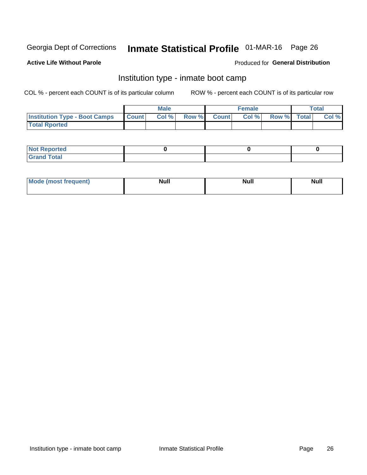## Inmate Statistical Profile 01-MAR-16 Page 26

#### **Active Life Without Parole**

#### Produced for General Distribution

### Institution type - inmate boot camp

COL % - percent each COUNT is of its particular column

|                                            | <b>Male</b> |                    | <b>Female</b> |             | <b>Total</b> |
|--------------------------------------------|-------------|--------------------|---------------|-------------|--------------|
| <b>Institution Type - Boot Camps Count</b> | Col%        | <b>Row % Count</b> | Col%          | Row % Total | Col %        |
| <b>Total Rported</b>                       |             |                    |               |             |              |

| <b>Not Reported</b>            |  |  |
|--------------------------------|--|--|
| <b>Total</b><br>C <sub>r</sub> |  |  |

| Mod<br>uamo | Nul.<br>$- - - - - -$ | <b>Null</b> | <br>uu.<br>------ |
|-------------|-----------------------|-------------|-------------------|
|             |                       |             |                   |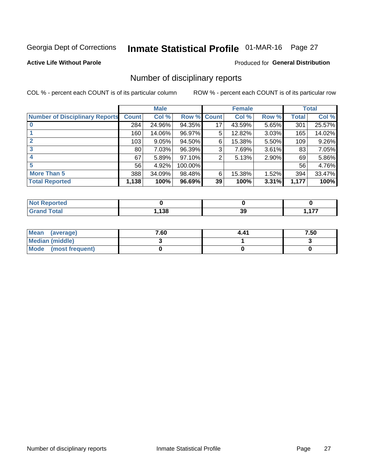## Inmate Statistical Profile 01-MAR-16 Page 27

#### **Active Life Without Parole**

#### **Produced for General Distribution**

### Number of disciplinary reports

COL % - percent each COUNT is of its particular column

|                                       |                 | <b>Male</b> |         |              | <b>Female</b> |          |       | <b>Total</b> |
|---------------------------------------|-----------------|-------------|---------|--------------|---------------|----------|-------|--------------|
| <b>Number of Disciplinary Reports</b> | <b>Count</b>    | Col %       | Row %   | <b>Count</b> | Col %         | Row %    | Total | Col %        |
|                                       | 284             | 24.96%      | 94.35%  | 17           | 43.59%        | 5.65%    | 301   | 25.57%       |
|                                       | 160             | 14.06%      | 96.97%  | 5            | 12.82%        | 3.03%    | 165   | 14.02%       |
| 2                                     | 103             | 9.05%       | 94.50%  | 6            | 15.38%        | $5.50\%$ | 109   | 9.26%        |
| 3                                     | 80 <sub>1</sub> | 7.03%       | 96.39%  | 3            | 7.69%         | $3.61\%$ | 83    | 7.05%        |
|                                       | 67              | 5.89%       | 97.10%  | 2            | 5.13%         | 2.90%    | 69    | 5.86%        |
| 5                                     | 56              | 4.92%       | 100.00% |              |               |          | 56    | 4.76%        |
| <b>More Than 5</b>                    | 388             | 34.09%      | 98.48%  | 6            | 15.38%        | 1.52%    | 394   | 33.47%       |
| <b>Total Reported</b>                 | 1,138           | 100%        | 96.69%  | 39           | 100%          | 3.31%    | 1,177 | 100%         |

| NO<br>тео    |      |    |                     |
|--------------|------|----|---------------------|
| <b>Total</b> | ,138 | 39 | $\overline{1}$<br>. |

| Mean (average)         | 7.60 | 4.41 | 7.50 |
|------------------------|------|------|------|
| <b>Median (middle)</b> |      |      |      |
| Mode (most frequent)   |      |      |      |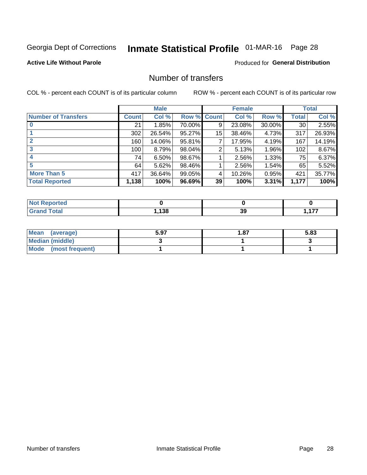## Inmate Statistical Profile 01-MAR-16 Page 28

#### **Active Life Without Parole**

#### **Produced for General Distribution**

### Number of transfers

COL % - percent each COUNT is of its particular column

|                            |         | <b>Male</b> |        |              | <b>Female</b> |        |              | <b>Total</b> |
|----------------------------|---------|-------------|--------|--------------|---------------|--------|--------------|--------------|
| <b>Number of Transfers</b> | Count l | Col %       | Row %  | <b>Count</b> | Col %         | Row %  | <b>Total</b> | Col %        |
|                            | 21      | 1.85%       | 70.00% | 9            | 23.08%        | 30.00% | 30           | 2.55%        |
|                            | 302     | 26.54%      | 95.27% | 15           | 38.46%        | 4.73%  | 317          | 26.93%       |
| 2                          | 160     | 14.06%      | 95.81% | 7            | 17.95%        | 4.19%  | 167          | 14.19%       |
| 3                          | 100     | 8.79%       | 98.04% | 2            | 5.13%         | 1.96%  | 102          | 8.67%        |
|                            | 74      | $6.50\%$    | 98.67% |              | 2.56%         | 1.33%  | 75           | 6.37%        |
| 5                          | 64      | 5.62%       | 98.46% |              | 2.56%         | 1.54%  | 65           | 5.52%        |
| <b>More Than 5</b>         | 417     | 36.64%      | 99.05% | 4            | 10.26%        | 0.95%  | 421          | 35.77%       |
| <b>Total Reported</b>      | 1,138   | 100%        | 96.69% | 39           | 100%          | 3.31%  | 1,177        | 100%         |

| วrted<br>NO  |     |          |                     |
|--------------|-----|----------|---------------------|
| <b>Total</b> | 138 | nr<br>აა | $\overline{1}$<br>. |

| Mean (average)       | 5.97 | 87. ا | 5.83 |
|----------------------|------|-------|------|
| Median (middle)      |      |       |      |
| Mode (most frequent) |      |       |      |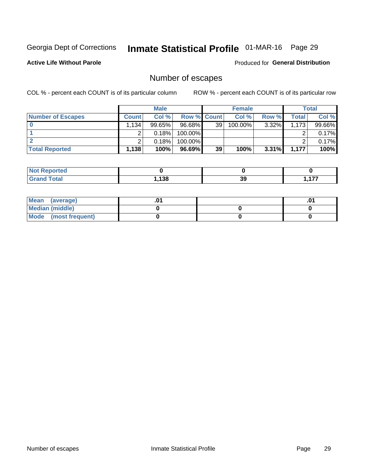## Inmate Statistical Profile 01-MAR-16 Page 29

**Active Life Without Parole** 

Produced for General Distribution

## Number of escapes

COL % - percent each COUNT is of its particular column

|                          |                                   | <b>Male</b> |                    |    | <b>Female</b> |          |       | Total  |
|--------------------------|-----------------------------------|-------------|--------------------|----|---------------|----------|-------|--------|
| <b>Number of Escapes</b> | <b>Count</b>                      | Col %       | <b>Row % Count</b> |    | Col %         | Row %    | Total | Col %  |
|                          | $1,134$ <sup><math>+</math></sup> | $99.65\%$   | $96.68\%$          | 39 | 100.00%       | $3.32\%$ | 1,173 | 99.66% |
|                          |                                   | 0.18%       | 100.00%            |    |               |          |       | 0.17%  |
|                          |                                   | 0.18%       | $100.00\%$         |    |               |          |       | 0.17%  |
| <b>Total Reported</b>    | 1,138                             | 100%        | 96.69%             | 39 | 100%          | $3.31\%$ | 1,177 | 100%   |

| <b>Reported</b><br><b>NOT</b> |               |    |          |
|-------------------------------|---------------|----|----------|
| Total<br>C-rc                 | 120<br>90 ا ، | 39 | ---<br>. |

| Mean (average)       |  | $.0^{\prime}$ |
|----------------------|--|---------------|
| Median (middle)      |  |               |
| Mode (most frequent) |  |               |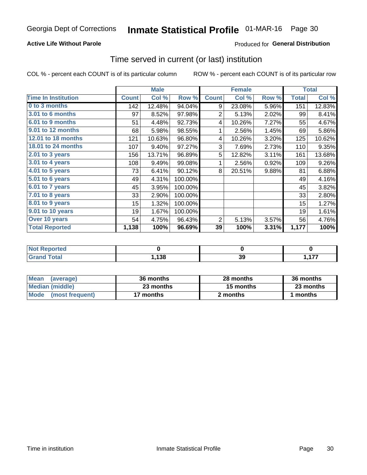#### **Active Life Without Parole**

#### Produced for General Distribution

### Time served in current (or last) institution

COL % - percent each COUNT is of its particular column

|                            |              | <b>Male</b> |         |                | <b>Female</b> |       |              | <b>Total</b> |
|----------------------------|--------------|-------------|---------|----------------|---------------|-------|--------------|--------------|
| <b>Time In Institution</b> | <b>Count</b> | Col %       | Row %   | <b>Count</b>   | Col %         | Row % | <b>Total</b> | Col %        |
| 0 to 3 months              | 142          | 12.48%      | 94.04%  | 9              | 23.08%        | 5.96% | 151          | 12.83%       |
| 3.01 to 6 months           | 97           | 8.52%       | 97.98%  | $\overline{2}$ | 5.13%         | 2.02% | 99           | 8.41%        |
| 6.01 to 9 months           | 51           | 4.48%       | 92.73%  | 4              | 10.26%        | 7.27% | 55           | 4.67%        |
| 9.01 to 12 months          | 68           | 5.98%       | 98.55%  | 1              | 2.56%         | 1.45% | 69           | 5.86%        |
| 12.01 to 18 months         | 121          | 10.63%      | 96.80%  | 4              | 10.26%        | 3.20% | 125          | 10.62%       |
| <b>18.01 to 24 months</b>  | 107          | 9.40%       | 97.27%  | 3              | 7.69%         | 2.73% | 110          | 9.35%        |
| 2.01 to 3 years            | 156          | 13.71%      | 96.89%  | 5              | 12.82%        | 3.11% | 161          | 13.68%       |
| 3.01 to 4 years            | 108          | 9.49%       | 99.08%  | 1              | 2.56%         | 0.92% | 109          | 9.26%        |
| $4.01$ to 5 years          | 73           | 6.41%       | 90.12%  | 8              | 20.51%        | 9.88% | 81           | 6.88%        |
| 5.01 to 6 years            | 49           | 4.31%       | 100.00% |                |               |       | 49           | 4.16%        |
| 6.01 to 7 years            | 45           | 3.95%       | 100.00% |                |               |       | 45           | 3.82%        |
| $7.01$ to 8 years          | 33           | 2.90%       | 100.00% |                |               |       | 33           | 2.80%        |
| 8.01 to 9 years            | 15           | 1.32%       | 100.00% |                |               |       | 15           | 1.27%        |
| 9.01 to 10 years           | 19           | 1.67%       | 100.00% |                |               |       | 19           | 1.61%        |
| Over 10 years              | 54           | 4.75%       | 96.43%  | 2              | 5.13%         | 3.57% | 56           | 4.76%        |
| <b>Total Reported</b>      | 1,138        | 100%        | 96.69%  | 39             | 100%          | 3.31% | 1,177        | 100%         |

| <b>Not Reported</b> |      |              |     |
|---------------------|------|--------------|-----|
| <b>Grand Total</b>  | ,138 | $\sim$<br>১৬ | ィラフ |

| <b>Mean</b><br>(average) | 36 months | 28 months | 36 months |
|--------------------------|-----------|-----------|-----------|
| Median (middle)          | 23 months | 15 months | 23 months |
| Mode (most frequent)     | 17 months | 2 months  | 1 months  |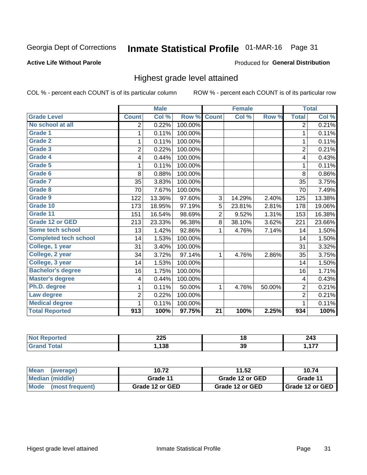## Inmate Statistical Profile 01-MAR-16 Page 31

#### **Active Life Without Parole**

#### Produced for General Distribution

### Highest grade level attained

COL % - percent each COUNT is of its particular column

|                              |                         | <b>Male</b> |         |                 | <b>Female</b> |        |                | <b>Total</b> |
|------------------------------|-------------------------|-------------|---------|-----------------|---------------|--------|----------------|--------------|
| <b>Grade Level</b>           | <b>Count</b>            | Col %       | Row %   | <b>Count</b>    | Col %         | Row %  | <b>Total</b>   | Col %        |
| No school at all             | 2                       | 0.22%       | 100.00% |                 |               |        | 2              | 0.21%        |
| Grade 1                      | 1                       | 0.11%       | 100.00% |                 |               |        | 1              | 0.11%        |
| <b>Grade 2</b>               | 1                       | 0.11%       | 100.00% |                 |               |        | 1              | 0.11%        |
| Grade 3                      | $\overline{2}$          | 0.22%       | 100.00% |                 |               |        | $\overline{2}$ | 0.21%        |
| Grade 4                      | 4                       | 0.44%       | 100.00% |                 |               |        | 4              | 0.43%        |
| Grade 5                      | 1                       | 0.11%       | 100.00% |                 |               |        | 1              | 0.11%        |
| Grade 6                      | 8                       | 0.88%       | 100.00% |                 |               |        | 8              | 0.86%        |
| Grade 7                      | 35                      | 3.83%       | 100.00% |                 |               |        | 35             | 3.75%        |
| Grade 8                      | 70                      | 7.67%       | 100.00% |                 |               |        | 70             | 7.49%        |
| Grade 9                      | 122                     | 13.36%      | 97.60%  | 3               | 14.29%        | 2.40%  | 125            | 13.38%       |
| Grade 10                     | 173                     | 18.95%      | 97.19%  | 5               | 23.81%        | 2.81%  | 178            | 19.06%       |
| Grade 11                     | 151                     | 16.54%      | 98.69%  | $\overline{2}$  | 9.52%         | 1.31%  | 153            | 16.38%       |
| <b>Grade 12 or GED</b>       | 213                     | 23.33%      | 96.38%  | 8               | 38.10%        | 3.62%  | 221            | 23.66%       |
| Some tech school             | 13                      | 1.42%       | 92.86%  | 1               | 4.76%         | 7.14%  | 14             | 1.50%        |
| <b>Completed tech school</b> | 14                      | 1.53%       | 100.00% |                 |               |        | 14             | 1.50%        |
| College, 1 year              | 31                      | 3.40%       | 100.00% |                 |               |        | 31             | 3.32%        |
| College, 2 year              | 34                      | 3.72%       | 97.14%  | 1               | 4.76%         | 2.86%  | 35             | 3.75%        |
| College, 3 year              | 14                      | 1.53%       | 100.00% |                 |               |        | 14             | 1.50%        |
| <b>Bachelor's degree</b>     | 16                      | 1.75%       | 100.00% |                 |               |        | 16             | 1.71%        |
| <b>Master's degree</b>       | $\overline{\mathbf{4}}$ | 0.44%       | 100.00% |                 |               |        | $\overline{4}$ | 0.43%        |
| Ph.D. degree                 | 1                       | 0.11%       | 50.00%  | 1               | 4.76%         | 50.00% | $\overline{2}$ | 0.21%        |
| Law degree                   | $\overline{2}$          | 0.22%       | 100.00% |                 |               |        | $\overline{2}$ | 0.21%        |
| <b>Medical degree</b>        | 1                       | 0.11%       | 100.00% |                 |               |        | 1              | 0.11%        |
| <b>Total Reported</b>        | 913                     | 100%        | 97.75%  | $\overline{21}$ | 100%          | 2.25%  | 934            | 100%         |

| rreo | へへに<br>ZZJ | 1 Q<br>$\sim$ | 243             |
|------|------------|---------------|-----------------|
|      | 138        | 39            | ---<br>. .<br>. |

| <b>Mean</b><br>(average)       | 10.72           | 11.52           | 10.74                    |
|--------------------------------|-----------------|-----------------|--------------------------|
| Median (middle)                | Grade 11        | Grade 12 or GED | Grade 11                 |
| <b>Mode</b><br>(most frequent) | Grade 12 or GED | Grade 12 or GED | <b>I</b> Grade 12 or GED |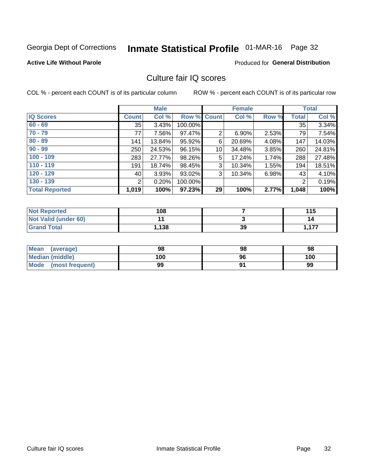## Inmate Statistical Profile 01-MAR-16 Page 32

#### **Active Life Without Parole**

#### **Produced for General Distribution**

### Culture fair IQ scores

COL % - percent each COUNT is of its particular column

|                       |              | <b>Male</b> |                    |                 | <b>Female</b> |          |              | <b>Total</b> |
|-----------------------|--------------|-------------|--------------------|-----------------|---------------|----------|--------------|--------------|
| <b>IQ Scores</b>      | <b>Count</b> | Col %       | <b>Row % Count</b> |                 | Col %         | Row %    | <b>Total</b> | Col %        |
| $60 - 69$             | 35           | 3.43%       | 100.00%            |                 |               |          | 35           | 3.34%        |
| $70 - 79$             | 77           | 7.56%       | 97.47%             | $\overline{2}$  | 6.90%         | 2.53%    | 79           | 7.54%        |
| $80 - 89$             | 141          | 13.84%      | 95.92%             | 6               | 20.69%        | 4.08%    | 147          | 14.03%       |
| $90 - 99$             | 250          | 24.53%      | 96.15%             | 10 <sup>1</sup> | 34.48%        | $3.85\%$ | 260          | 24.81%       |
| $100 - 109$           | 283          | 27.77%      | 98.26%             | 5               | 17.24%        | 1.74%    | 288          | 27.48%       |
| $110 - 119$           | 191          | 18.74%      | 98.45%             | 3               | 10.34%        | 1.55%    | 194          | 18.51%       |
| $120 - 129$           | 40           | 3.93%       | 93.02%             | 3               | 10.34%        | 6.98%    | 43           | 4.10%        |
| $130 - 139$           | 2            | 0.20%       | 100.00%            |                 |               |          | 2            | 0.19%        |
| <b>Total Reported</b> | 1,019        | 100%        | 97.23%             | 29              | 100%          | 2.77%    | 1,048        | 100%         |

| <b>Not Reported</b>  | 108   |    | 115   |
|----------------------|-------|----|-------|
| Not Valid (under 60) |       |    | 14    |
| <b>Grand Total</b>   | 1,138 | 39 | 1,177 |

| Mean<br>(average)    | 98  | 98 | 98  |
|----------------------|-----|----|-----|
| Median (middle)      | 100 | 96 | 100 |
| Mode (most frequent) | 99  |    | 99  |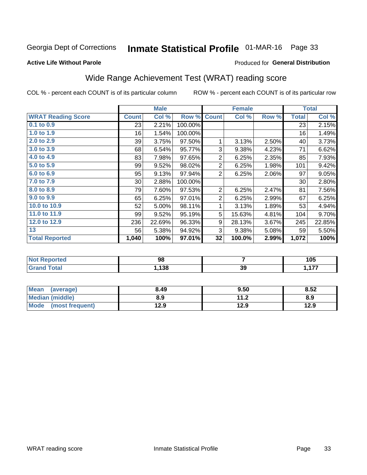## Inmate Statistical Profile 01-MAR-16 Page 33

#### **Active Life Without Parole**

#### Produced for General Distribution

## Wide Range Achievement Test (WRAT) reading score

COL % - percent each COUNT is of its particular column

| <b>WRAT Reading Score</b> |                 |        |         |                | <b>Female</b> |       |              | <b>Total</b> |
|---------------------------|-----------------|--------|---------|----------------|---------------|-------|--------------|--------------|
|                           | <b>Count</b>    | Col %  | Row %   | <b>Count</b>   | Col %         | Row % | <b>Total</b> | Col %        |
| 0.1 to 0.9                | 23              | 2.21%  | 100.00% |                |               |       | 23           | 2.15%        |
| 1.0 to 1.9                | 16              | 1.54%  | 100.00% |                |               |       | 16           | 1.49%        |
| 2.0 to 2.9                | 39              | 3.75%  | 97.50%  | 1              | 3.13%         | 2.50% | 40           | 3.73%        |
| 3.0 to 3.9                | 68              | 6.54%  | 95.77%  | 3              | 9.38%         | 4.23% | 71           | 6.62%        |
| 4.0 to 4.9                | 83              | 7.98%  | 97.65%  | $\overline{2}$ | 6.25%         | 2.35% | 85           | 7.93%        |
| 5.0 to 5.9                | 99              | 9.52%  | 98.02%  | $\overline{2}$ | 6.25%         | 1.98% | 101          | 9.42%        |
| 6.0 to 6.9                | 95              | 9.13%  | 97.94%  | 2              | 6.25%         | 2.06% | 97           | 9.05%        |
| 7.0 to 7.9                | 30 <sup>2</sup> | 2.88%  | 100.00% |                |               |       | 30           | 2.80%        |
| 8.0 to 8.9                | 79              | 7.60%  | 97.53%  | 2              | 6.25%         | 2.47% | 81           | 7.56%        |
| 9.0 to 9.9                | 65              | 6.25%  | 97.01%  | $\overline{2}$ | 6.25%         | 2.99% | 67           | 6.25%        |
| 10.0 to 10.9              | 52              | 5.00%  | 98.11%  | 1              | 3.13%         | 1.89% | 53           | 4.94%        |
| 11.0 to 11.9              | 99              | 9.52%  | 95.19%  | 5              | 15.63%        | 4.81% | 104          | 9.70%        |
| 12.0 to 12.9              | 236             | 22.69% | 96.33%  | 9              | 28.13%        | 3.67% | 245          | 22.85%       |
| 13                        | 56              | 5.38%  | 94.92%  | 3              | 9.38%         | 5.08% | 59           | 5.50%        |
| <b>Total Reported</b>     | 1,040           | 100%   | 97.01%  | 32             | 100.0%        | 2.99% | 1,072        | 100%         |

| <b>Not Reported</b>   | 98   |     | 105      |
|-----------------------|------|-----|----------|
| <b>Total</b><br>Grand | ,138 | -39 | 477<br>. |

| Mean (average)         | 8.49 | 9.50 | 8.52 |
|------------------------|------|------|------|
| <b>Median (middle)</b> | 8.9  | 11.2 | 8.9  |
| Mode (most frequent)   | 12.9 | 12.9 | 12.9 |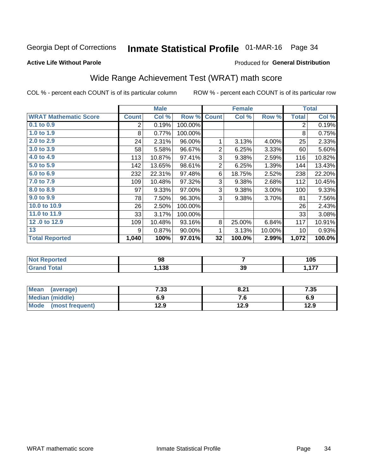## Inmate Statistical Profile 01-MAR-16 Page 34

#### **Active Life Without Parole**

#### Produced for General Distribution

## Wide Range Achievement Test (WRAT) math score

COL % - percent each COUNT is of its particular column

|                              |              | <b>Male</b> |           |                | <b>Female</b> |        |              | <b>Total</b> |
|------------------------------|--------------|-------------|-----------|----------------|---------------|--------|--------------|--------------|
| <b>WRAT Mathematic Score</b> | <b>Count</b> | Col %       | Row %     | <b>Count</b>   | Col %         | Row %  | <b>Total</b> | Col %        |
| $0.1$ to $0.9$               | 2            | 0.19%       | 100.00%   |                |               |        | 2            | 0.19%        |
| 1.0 to 1.9                   | 8            | 0.77%       | 100.00%   |                |               |        | 8            | 0.75%        |
| 2.0 to 2.9                   | 24           | 2.31%       | 96.00%    | 1              | 3.13%         | 4.00%  | 25           | 2.33%        |
| 3.0 to 3.9                   | 58           | 5.58%       | 96.67%    | $\overline{2}$ | 6.25%         | 3.33%  | 60           | 5.60%        |
| 4.0 to 4.9                   | 113          | 10.87%      | 97.41%    | 3              | 9.38%         | 2.59%  | 116          | 10.82%       |
| 5.0 to 5.9                   | 142          | 13.65%      | 98.61%    | $\overline{2}$ | 6.25%         | 1.39%  | 144          | 13.43%       |
| 6.0 to 6.9                   | 232          | 22.31%      | 97.48%    | 6              | 18.75%        | 2.52%  | 238          | 22.20%       |
| 7.0 to 7.9                   | 109          | 10.48%      | 97.32%    | 3              | 9.38%         | 2.68%  | 112          | 10.45%       |
| 8.0 to 8.9                   | 97           | 9.33%       | 97.00%    | 3              | 9.38%         | 3.00%  | 100          | 9.33%        |
| 9.0 to 9.9                   | 78           | 7.50%       | 96.30%    | 3              | 9.38%         | 3.70%  | 81           | 7.56%        |
| 10.0 to 10.9                 | 26           | 2.50%       | 100.00%   |                |               |        | 26           | 2.43%        |
| 11.0 to 11.9                 | 33           | 3.17%       | 100.00%   |                |               |        | 33           | 3.08%        |
| 12.0 to 12.9                 | 109          | 10.48%      | 93.16%    | 8              | 25.00%        | 6.84%  | 117          | 10.91%       |
| 13                           | 9            | 0.87%       | $90.00\%$ | 1              | 3.13%         | 10.00% | 10           | 0.93%        |
| <b>Total Reported</b>        | 1,040        | 100%        | 97.01%    | 32             | 100.0%        | 2.99%  | 1,072        | 100.0%       |

| <b>Not Reported</b>          | 98    |    | 105         |
|------------------------------|-------|----|-------------|
| <b>Total</b><br><b>Grand</b> | , 138 | 39 | $-477$<br>. |

| Mean (average)         | 7.33 | 8.21 | 7.35 |
|------------------------|------|------|------|
| <b>Median (middle)</b> | 6.9  | 7. U | 6.9  |
| Mode (most frequent)   | 12.9 | 12.9 | 12.9 |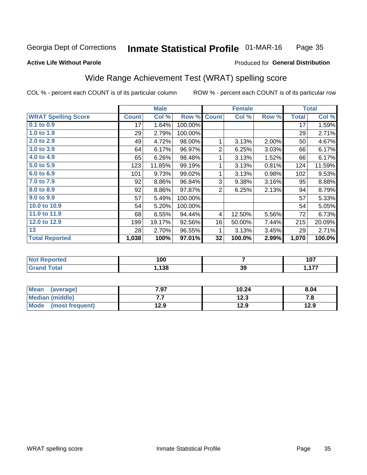#### Inmate Statistical Profile 01-MAR-16 Page 35

#### **Active Life Without Parole**

#### Produced for General Distribution

### Wide Range Achievement Test (WRAT) spelling score

COL % - percent each COUNT is of its particular column

|                            |              | <b>Male</b> |         |                | <b>Female</b> |       |              | <b>Total</b> |
|----------------------------|--------------|-------------|---------|----------------|---------------|-------|--------------|--------------|
| <b>WRAT Spelling Score</b> | <b>Count</b> | Col %       | Row %   | <b>Count</b>   | Col %         | Row % | <b>Total</b> | Col %        |
| $0.1$ to $0.9$             | 17           | 1.64%       | 100.00% |                |               |       | 17           | 1.59%        |
| 1.0 to 1.9                 | 29           | 2.79%       | 100.00% |                |               |       | 29           | 2.71%        |
| 2.0 to 2.9                 | 49           | 4.72%       | 98.00%  | 1              | 3.13%         | 2.00% | 50           | 4.67%        |
| 3.0 to 3.9                 | 64           | 6.17%       | 96.97%  | $\overline{2}$ | 6.25%         | 3.03% | 66           | 6.17%        |
| 4.0 to 4.9                 | 65           | 6.26%       | 98.48%  | 1              | 3.13%         | 1.52% | 66           | 6.17%        |
| 5.0 to 5.9                 | 123          | 11.85%      | 99.19%  | 1              | 3.13%         | 0.81% | 124          | 11.59%       |
| 6.0 to 6.9                 | 101          | 9.73%       | 99.02%  | 1              | 3.13%         | 0.98% | 102          | 9.53%        |
| 7.0 to 7.9                 | 92           | 8.86%       | 96.84%  | 3              | 9.38%         | 3.16% | 95           | 8.88%        |
| 8.0 to 8.9                 | 92           | 8.86%       | 97.87%  | $\overline{2}$ | 6.25%         | 2.13% | 94           | 8.79%        |
| 9.0 to 9.9                 | 57           | 5.49%       | 100.00% |                |               |       | 57           | 5.33%        |
| 10.0 to 10.9               | 54           | 5.20%       | 100.00% |                |               |       | 54           | 5.05%        |
| 11.0 to 11.9               | 68           | 6.55%       | 94.44%  | 4              | 12.50%        | 5.56% | 72           | 6.73%        |
| 12.0 to 12.9               | 199          | 19.17%      | 92.56%  | 16             | 50.00%        | 7.44% | 215          | 20.09%       |
| 13                         | 28           | 2.70%       | 96.55%  | 1              | 3.13%         | 3.45% | 29           | 2.71%        |
| <b>Total Reported</b>      | 1,038        | 100%        | 97.01%  | 32             | 100.0%        | 2.99% | 1,070        | 100.0%       |
|                            |              |             |         |                |               |       |              |              |

| <b>Not Reported</b>          | 100  |    | 107 |
|------------------------------|------|----|-----|
| <b>Total</b><br><b>Grand</b> | ,138 | 39 | 477 |

| <b>Mean</b><br>(average) | 7.97 | 10.24 | 8.04 |
|--------------------------|------|-------|------|
| Median (middle)          | .    | 12.3  | 7. L |
| Mode<br>(most frequent)  | 12.9 | 12.9  | 12.9 |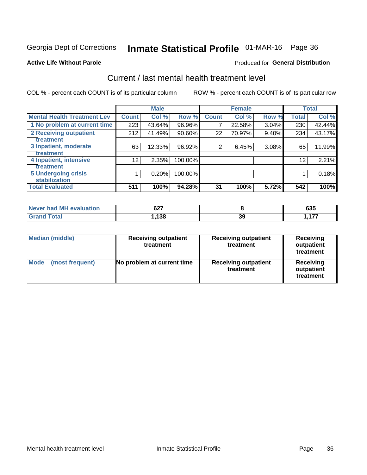## Inmate Statistical Profile 01-MAR-16 Page 36

#### **Active Life Without Parole**

#### Produced for General Distribution

## Current / last mental health treatment level

COL % - percent each COUNT is of its particular column

|                                    |              | <b>Male</b> |         |              | <b>Female</b> |       |                 | <b>Total</b> |
|------------------------------------|--------------|-------------|---------|--------------|---------------|-------|-----------------|--------------|
| <b>Mental Health Treatment Lev</b> | <b>Count</b> | Col %       | Row %   | <b>Count</b> | Col %         | Row % | <b>Total</b>    | Col %        |
| 1 No problem at current time       | 223          | 43.64%      | 96.96%  | 7            | 22.58%        | 3.04% | 230             | 42.44%       |
| 2 Receiving outpatient             | 212          | 41.49%      | 90.60%  | 22           | 70.97%        | 9.40% | 234             | 43.17%       |
| <b>Treatment</b>                   |              |             |         |              |               |       |                 |              |
| 3 Inpatient, moderate              | 63           | 12.33%      | 96.92%  | 2            | 6.45%         | 3.08% | 65              | 11.99%       |
| Treatment                          |              |             |         |              |               |       |                 |              |
| 4 Inpatient, intensive             | 12           | 2.35%       | 100.00% |              |               |       | 12 <sup>2</sup> | 2.21%        |
| Treatment                          |              |             |         |              |               |       |                 |              |
| <b>5 Undergoing crisis</b>         |              | 0.20%       | 100.00% |              |               |       |                 | 0.18%        |
| <b>stabilization</b>               |              |             |         |              |               |       |                 |              |
| <b>Total Evaluated</b>             | 511          | 100%        | 94.28%  | 31           | 100%          | 5.72% | 542             | 100%         |

| <b>evaluation</b>   | 627  |    | $\sim$ |
|---------------------|------|----|--------|
| <b>Never had MF</b> | 0Z 1 |    | ບວວ    |
| $f$ otol            | ,138 | 39 | ィララ    |

| Median (middle)         | <b>Receiving outpatient</b><br>treatment | <b>Receiving outpatient</b><br>treatment | <b>Receiving</b><br>outpatient<br>treatment |  |
|-------------------------|------------------------------------------|------------------------------------------|---------------------------------------------|--|
| Mode<br>(most frequent) | No problem at current time               | <b>Receiving outpatient</b><br>treatment | <b>Receiving</b><br>outpatient<br>treatment |  |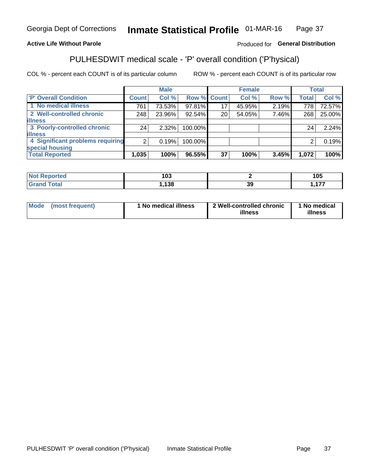#### Inmate Statistical Profile 01-MAR-16 Page 37

#### **Active Life Without Parole**

#### Produced for General Distribution

## PULHESDWIT medical scale - 'P' overall condition ('P'hysical)

COL % - percent each COUNT is of its particular column

|                                  |                | <b>Male</b> |         |                 | <b>Female</b> |       |              | <b>Total</b> |
|----------------------------------|----------------|-------------|---------|-----------------|---------------|-------|--------------|--------------|
| 'P' Overall Condition            | Count l        | Col %       |         | Row % Count     | Col %         | Row % | <b>Total</b> | Col %        |
| 1 No medical illness             | 761            | 73.53%      | 97.81%  | 17              | 45.95%        | 2.19% | 778          | 72.57%       |
| 2 Well-controlled chronic        | 248            | 23.96%      | 92.54%  | 20 <sub>1</sub> | 54.05%        | 7.46% | 268          | 25.00%       |
| <b>lillness</b>                  |                |             |         |                 |               |       |              |              |
| 3 Poorly-controlled chronic      | 24             | $2.32\%$    | 100.00% |                 |               |       | 24           | 2.24%        |
| <b>illness</b>                   |                |             |         |                 |               |       |              |              |
| 4 Significant problems requiring | 2 <sub>1</sub> | 0.19%       | 100.00% |                 |               |       | 2            | 0.19%        |
| special housing                  |                |             |         |                 |               |       |              |              |
| <b>Total Reported</b>            | 1,035          | 100%        | 96.55%  | 37              | 100%          | 3.45% | 1,072        | 100%         |

| τeα   | ィハク<br>טע |   | 1 N F<br>טו |
|-------|-----------|---|-------------|
| _____ | 420<br>ပေ | v | ----        |

| <b>Mode</b> | (most frequent) | 1 No medical illness | 2 Well-controlled chronic<br>illness | 1 No medical<br>illness |
|-------------|-----------------|----------------------|--------------------------------------|-------------------------|
|-------------|-----------------|----------------------|--------------------------------------|-------------------------|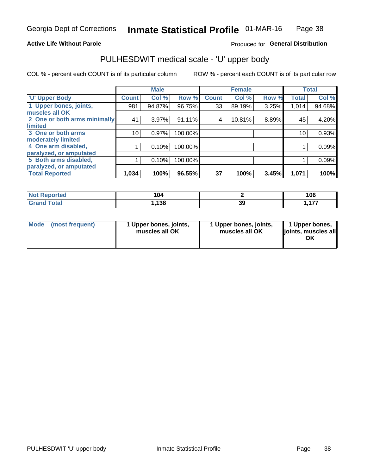#### **Active Life Without Parole**

#### Produced for General Distribution

## PULHESDWIT medical scale - 'U' upper body

COL % - percent each COUNT is of its particular column

|                              |              | <b>Male</b> |         |              | <b>Female</b> |       |              | <b>Total</b> |
|------------------------------|--------------|-------------|---------|--------------|---------------|-------|--------------|--------------|
| <b>U' Upper Body</b>         | <b>Count</b> | Col %       | Row %   | <b>Count</b> | Col %         | Row % | <b>Total</b> | Col %        |
| 1 Upper bones, joints,       | 981          | 94.87%      | 96.75%  | 33           | 89.19%        | 3.25% | 1,014        | 94.68%       |
| muscles all OK               |              |             |         |              |               |       |              |              |
| 2 One or both arms minimally | 41           | 3.97%       | 91.11%  | 4            | 10.81%        | 8.89% | 45           | 4.20%        |
| limited                      |              |             |         |              |               |       |              |              |
| 3 One or both arms           | 10           | 0.97%       | 100.00% |              |               |       | 10           | 0.93%        |
| <b>moderately limited</b>    |              |             |         |              |               |       |              |              |
| 4 One arm disabled,          |              | 0.10%       | 100.00% |              |               |       |              | 0.09%        |
| paralyzed, or amputated      |              |             |         |              |               |       |              |              |
| 5 Both arms disabled,        |              | 0.10%       | 100.00% |              |               |       |              | 0.09%        |
| paralyzed, or amputated      |              |             |         |              |               |       |              |              |
| <b>Total Reported</b>        | 1,034        | 100%        | 96.55%  | 37           | 100%          | 3.45% | 1,071        | 100%         |

| <b>Not Reported</b> | 104         |    | 106      |
|---------------------|-------------|----|----------|
| <b>Grand Total</b>  | 420<br>၊ ၁၀ | 39 | ---<br>. |

| Mode (most frequent) | 1 Upper bones, joints,<br>muscles all OK | 1 Upper bones, joints,<br>muscles all OK | 1 Upper bones,<br>joints, muscles all<br>ΟK |
|----------------------|------------------------------------------|------------------------------------------|---------------------------------------------|
|----------------------|------------------------------------------|------------------------------------------|---------------------------------------------|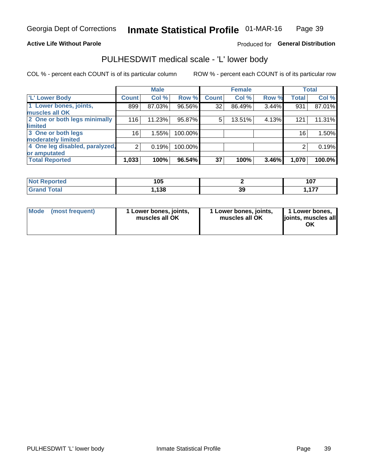#### **Active Life Without Parole**

#### Produced for General Distribution

### PULHESDWIT medical scale - 'L' lower body

COL % - percent each COUNT is of its particular column

|                                |                 | <b>Male</b> |         |              | <b>Female</b> |       |              | <b>Total</b> |
|--------------------------------|-----------------|-------------|---------|--------------|---------------|-------|--------------|--------------|
| 'L' Lower Body                 | <b>Count</b>    | Col %       | Row %   | <b>Count</b> | Col %         | Row % | <b>Total</b> | Col %        |
| 1 Lower bones, joints,         | 899             | 87.03%      | 96.56%  | 32           | 86.49%        | 3.44% | 931          | 87.01%       |
| muscles all OK                 |                 |             |         |              |               |       |              |              |
| 2 One or both legs minimally   | 116             | 11.23%      | 95.87%  | 5            | 13.51%        | 4.13% | 121          | 11.31%       |
| limited                        |                 |             |         |              |               |       |              |              |
| 3 One or both legs             | 16 <sub>1</sub> | 1.55%       | 100.00% |              |               |       | 16           | 1.50%        |
| moderately limited             |                 |             |         |              |               |       |              |              |
| 4 One leg disabled, paralyzed, | $\overline{2}$  | 0.19%       | 100.00% |              |               |       | 2            | 0.19%        |
| or amputated                   |                 |             |         |              |               |       |              |              |
| <b>Total Reported</b>          | 1,033           | 100%        | 96.54%  | 37           | 100%          | 3.46% | 1,070        | 100.0%       |

| <b>Not Reported</b> | 1 N E<br>טע. |    | 4 A 7<br>ו שו |
|---------------------|--------------|----|---------------|
| <b>Total</b>        | 420          | 39 | 477<br>.      |

| Mode | (most frequent) | 1 Lower bones, joints,<br>muscles all OK | 1 Lower bones, joints,<br>muscles all OK | 1 Lower bones,<br>ljoints, muscles all<br>OK |
|------|-----------------|------------------------------------------|------------------------------------------|----------------------------------------------|
|------|-----------------|------------------------------------------|------------------------------------------|----------------------------------------------|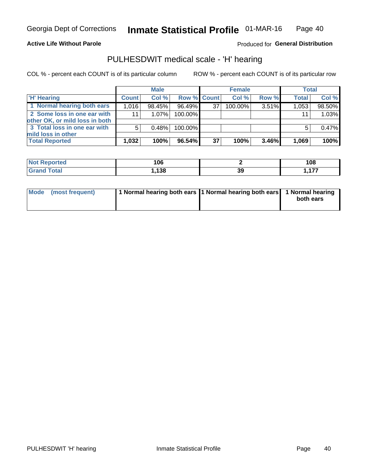#### **Active Life Without Parole**

Produced for General Distribution

### PULHESDWIT medical scale - 'H' hearing

COL % - percent each COUNT is of its particular column

|                                                               |                 | <b>Male</b> |             |    | <b>Female</b> |       | <b>Total</b> |        |
|---------------------------------------------------------------|-----------------|-------------|-------------|----|---------------|-------|--------------|--------|
| <b>H'</b> Hearing                                             | <b>Count</b>    | Col %       | Row % Count |    | Col%          | Row % | <b>Total</b> | Col %  |
| 1 Normal hearing both ears                                    | 1.016           | 98.45%      | 96.49%      | 37 | 100.00%       | 3.51% | 1,053        | 98.50% |
| 2 Some loss in one ear with<br>other OK, or mild loss in both | 11 <sub>1</sub> | 1.07%       | 100.00%     |    |               |       | 11           | 1.03%  |
| 3 Total loss in one ear with<br>mild loss in other            | 5               | 0.48%       | 100.00%     |    |               |       | 5            | 0.47%  |
| <b>Total Reported</b>                                         | 1,032           | 100%        | 96.54%      | 37 | 100%          | 3.46% | 1,069        | 100%   |

| <b>Reported</b><br><b>NOT</b> | 106  |    | 108                           |
|-------------------------------|------|----|-------------------------------|
| <b>otal</b>                   | ,138 | 39 | $\overline{\phantom{a}}$<br>. |

| Mode (most frequent) | 1 Normal hearing both ears 1 Normal hearing both ears 1 Normal hearing | both ears |
|----------------------|------------------------------------------------------------------------|-----------|
|----------------------|------------------------------------------------------------------------|-----------|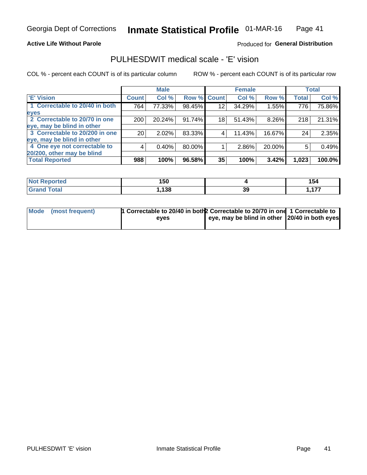#### **Active Life Without Parole**

#### Produced for General Distribution

### PULHESDWIT medical scale - 'E' vision

COL % - percent each COUNT is of its particular column

|                                |                 | <b>Male</b> |        |             | <b>Female</b> |          |              | <b>Total</b> |
|--------------------------------|-----------------|-------------|--------|-------------|---------------|----------|--------------|--------------|
| <b>E' Vision</b>               | <b>Count</b>    | Col %       |        | Row % Count | Col %         | Row %    | <b>Total</b> | Col %        |
| 1 Correctable to 20/40 in both | 764             | 77.33%      | 98.45% | 12          | 34.29%        | 1.55%    | 776          | 75.86%       |
| eyes                           |                 |             |        |             |               |          |              |              |
| 2 Correctable to 20/70 in one  | 200             | 20.24%      | 91.74% | 18          | 51.43%        | $8.26\%$ | 218          | 21.31%       |
| eye, may be blind in other     |                 |             |        |             |               |          |              |              |
| 3 Correctable to 20/200 in one | 20 <sub>1</sub> | 2.02%       | 83.33% |             | 11.43%        | 16.67%   | 24           | 2.35%        |
| eye, may be blind in other     |                 |             |        |             |               |          |              |              |
| 4 One eye not correctable to   | 4               | 0.40%       | 80.00% |             | 2.86%         | 20.00%   | 5            | 0.49%        |
| 20/200, other may be blind     |                 |             |        |             |               |          |              |              |
| <b>Total Reported</b>          | 988             | 100%        | 96.58% | 35          | 100%          | 3.42%    | 1,023        | 100.0%       |

| <b>Not Reported</b><br>$\cdots$ | 1 E N<br>טכו |    | 154                 |
|---------------------------------|--------------|----|---------------------|
| Total                           | 138          | 39 | $\overline{1}$<br>. |

| Mode (most frequent) | 1 Correctable to 20/40 in both 2 Correctable to 20/70 in one 1 Correctable to<br>eves | eye, may be blind in other 20/40 in both eyes |  |
|----------------------|---------------------------------------------------------------------------------------|-----------------------------------------------|--|
|                      |                                                                                       |                                               |  |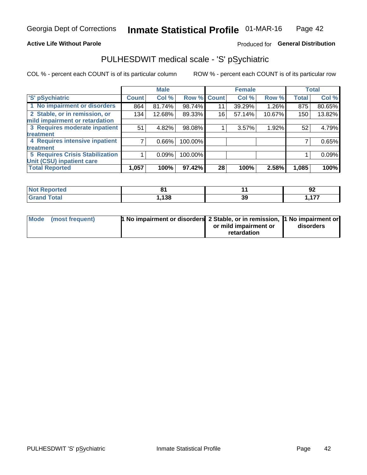#### **Active Life Without Parole**

#### Produced for General Distribution

## PULHESDWIT medical scale - 'S' pSychiatric

COL % - percent each COUNT is of its particular column

|                                        |              | <b>Male</b> |         |             | <b>Female</b> |        |              | <b>Total</b> |
|----------------------------------------|--------------|-------------|---------|-------------|---------------|--------|--------------|--------------|
| 'S' pSychiatric                        | <b>Count</b> | Col %       |         | Row % Count | Col %         | Row %  | <b>Total</b> | Col %        |
| 1 No impairment or disorders           | 864          | 81.74%      | 98.74%  | 11          | 39.29%        | 1.26%  | 875          | 80.65%       |
| 2 Stable, or in remission, or          | 134          | 12.68%      | 89.33%  | 16          | 57.14%        | 10.67% | 150          | 13.82%       |
| mild impairment or retardation         |              |             |         |             |               |        |              |              |
| 3 Requires moderate inpatient          | 51           | 4.82%       | 98.08%  |             | 3.57%         | 1.92%  | 52           | 4.79%        |
| <b>treatment</b>                       |              |             |         |             |               |        |              |              |
| 4 Requires intensive inpatient         |              | $0.66\%$    | 100.00% |             |               |        |              | 0.65%        |
| treatment                              |              |             |         |             |               |        |              |              |
| <b>5 Requires Crisis Stabilization</b> |              | 0.09%       | 100.00% |             |               |        |              | 0.09%        |
| Unit (CSU) inpatient care              |              |             |         |             |               |        |              |              |
| <b>Total Reported</b>                  | 1,057        | 100%        | 97.42%  | 28          | 100%          | 2.58%  | 1,085        | 100%         |

| <b>Not Reported</b>  | о.    |    | n.<br>JŁ |
|----------------------|-------|----|----------|
| <b>Total</b><br>Gran | , 138 | 39 | 477<br>. |

| Mode (most frequent) | <b>1 No impairment or disorders</b> 2 Stable, or in remission, 11 No impairment or |                       |           |
|----------------------|------------------------------------------------------------------------------------|-----------------------|-----------|
|                      |                                                                                    | or mild impairment or | disorders |
|                      |                                                                                    | retardation           |           |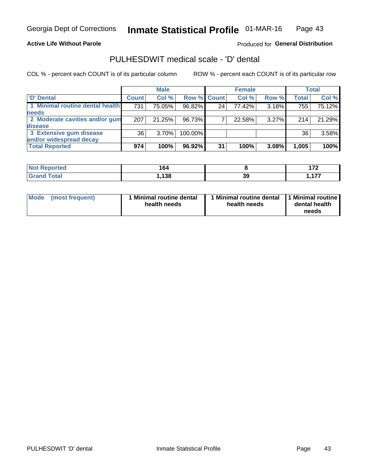**Active Life Without Parole** 

Produced for General Distribution

### PULHESDWIT medical scale - 'D' dental

COL % - percent each COUNT is of its particular column

|                                 |              | <b>Male</b> |           |                 | <b>Female</b> |       |              | <b>Total</b> |
|---------------------------------|--------------|-------------|-----------|-----------------|---------------|-------|--------------|--------------|
| 'D' Dental                      | <b>Count</b> | Col %       |           | Row % Count     | Col %         | Row % | <b>Total</b> | Col %        |
| 1 Minimal routine dental health | 731          | 75.05%      | 96.82%    | 24 <sub>1</sub> | 77.42%        | 3.18% | 755          | 75.12%       |
| <b>needs</b>                    |              |             |           |                 |               |       |              |              |
| 2 Moderate cavities and/or gum  | 207          | 21.25%      | 96.73%    |                 | 22.58%        | 3.27% | 214          | 21.29%       |
| disease                         |              |             |           |                 |               |       |              |              |
| 3 Extensive gum disease         | 36           | $3.70\%$    | 100.00%   |                 |               |       | 36           | 3.58%        |
| and/or widespread decay         |              |             |           |                 |               |       |              |              |
| <b>Total Reported</b>           | 974          | 100%        | $96.92\%$ | 31              | 100%          | 3.08% | 1,005        | 100%         |

| prτea<br><b>NOT</b><br> | 164        |    | $\overline{\phantom{a}}$ |
|-------------------------|------------|----|--------------------------|
| <b>Total</b>            | 128<br>lэc | 39 | ---<br>. .<br>.          |

| <b>Mode</b>     | Minimal routine dental | 1 Minimal routine dental 1 Minimal routine | dental health |
|-----------------|------------------------|--------------------------------------------|---------------|
| (most frequent) | health needs           | health needs                               | needs         |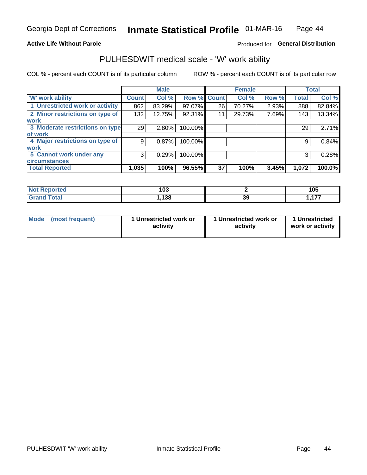#### **Active Life Without Parole**

#### Produced for General Distribution

### PULHESDWIT medical scale - 'W' work ability

COL % - percent each COUNT is of its particular column

|                                 |              | <b>Male</b> |         |             | <b>Female</b> |       |              | <b>Total</b> |
|---------------------------------|--------------|-------------|---------|-------------|---------------|-------|--------------|--------------|
| <b>W' work ability</b>          | <b>Count</b> | Col %       |         | Row % Count | Col %         | Row % | <b>Total</b> | Col %        |
| 1 Unrestricted work or activity | 862          | 83.29%      | 97.07%  | 26          | 70.27%        | 2.93% | 888          | 82.84%       |
| 2 Minor restrictions on type of | 132          | 12.75%      | 92.31%  | 11          | 29.73%        | 7.69% | 143          | 13.34%       |
| <b>work</b>                     |              |             |         |             |               |       |              |              |
| 3 Moderate restrictions on type | 29           | $2.80\%$    | 100.00% |             |               |       | 29           | 2.71%        |
| lof work                        |              |             |         |             |               |       |              |              |
| 4 Major restrictions on type of | 9            | 0.87%       | 100.00% |             |               |       | 9            | 0.84%        |
| <b>work</b>                     |              |             |         |             |               |       |              |              |
| 5 Cannot work under any         | 3            | 0.29%       | 100.00% |             |               |       | 3            | 0.28%        |
| <b>circumstances</b>            |              |             |         |             |               |       |              |              |
| <b>Total Reported</b>           | 1,035        | 100%        | 96.55%  | 37          | 100%          | 3.45% | 1,072        | 100.0%       |

| <b>Not Reported</b>          | 103  |    | 105            |
|------------------------------|------|----|----------------|
| <b>Total</b><br><b>C</b> ron | ,138 | ડડ | $\overline{a}$ |

| Mode            | 1 Unrestricted work or | 1 Unrestricted work or | 1 Unrestricted   |
|-----------------|------------------------|------------------------|------------------|
| (most frequent) | activity               | activity               | work or activity |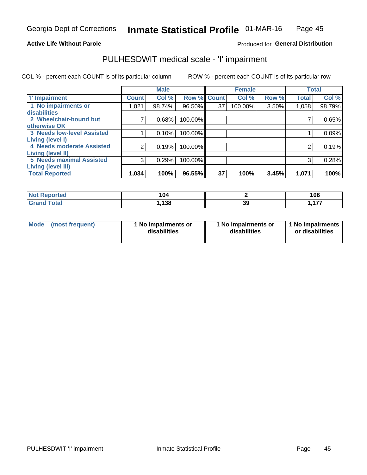#### **Active Life Without Parole**

#### Produced for General Distribution

## PULHESDWIT medical scale - 'I' impairment

COL % - percent each COUNT is of its particular column ROW % - percent each COUNT is of its particular row

|                                   |                    | <b>Male</b> |             |    | <b>Female</b> |       |              | <b>Total</b> |
|-----------------------------------|--------------------|-------------|-------------|----|---------------|-------|--------------|--------------|
| <b>T' Impairment</b>              | Count <sup>!</sup> | Col %       | Row % Count |    | Col %         | Row % | <b>Total</b> | Col %        |
| 1 No impairments or               | 021.ا              | 98.74%      | 96.50%      | 37 | 100.00%       | 3.50% | 1,058        | 98.79%       |
| disabilities                      |                    |             |             |    |               |       |              |              |
| 2 Wheelchair-bound but            |                    | 0.68%       | 100.00%     |    |               |       |              | 0.65%        |
| otherwise OK                      |                    |             |             |    |               |       |              |              |
| <b>3 Needs low-level Assisted</b> |                    | 0.10%       | 100.00%     |    |               |       |              | 0.09%        |
| Living (level I)                  |                    |             |             |    |               |       |              |              |
| 4 Needs moderate Assisted         | 2                  | 0.19%       | 100.00%     |    |               |       | 2            | 0.19%        |
| <b>Living (level II)</b>          |                    |             |             |    |               |       |              |              |
| <b>5 Needs maximal Assisted</b>   | 3                  | 0.29%       | 100.00%     |    |               |       | 3            | 0.28%        |
| <b>Living (level III)</b>         |                    |             |             |    |               |       |              |              |
| <b>Total Reported</b>             | 1,034              | 100%        | 96.55%      | 37 | 100%          | 3.45% | 1,071        | 100%         |

| <b>orted</b> | 104  |          | 106      |
|--------------|------|----------|----------|
| <b>Total</b> | ,138 | 20<br>აა | 477<br>. |

| Mode | (most frequent) | 1 No impairments or<br>disabilities | 1 No impairments or<br>disabilities | 1 No impairments<br>or disabilities |
|------|-----------------|-------------------------------------|-------------------------------------|-------------------------------------|
|------|-----------------|-------------------------------------|-------------------------------------|-------------------------------------|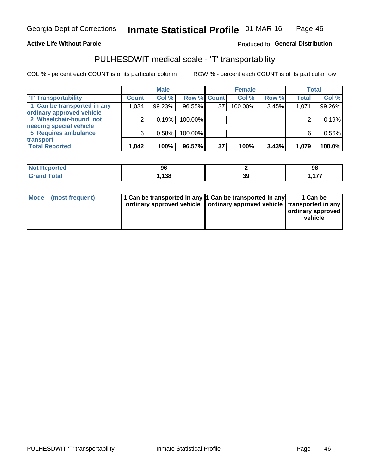#### **Active Life Without Parole**

#### Produced fo General Distribution

## PULHESDWIT medical scale - 'T' transportability

COL % - percent each COUNT is of its particular column

|                             |              | <b>Male</b> |             |    | <b>Female</b> |       |              | <b>Total</b> |
|-----------------------------|--------------|-------------|-------------|----|---------------|-------|--------------|--------------|
| <b>T' Transportability</b>  | <b>Count</b> | Col %       | Row % Count |    | Col %         | Row % | <b>Total</b> | Col %        |
| 1 Can be transported in any | 1,034        | 99.23%      | 96.55%      | 37 | 100.00%       | 3.45% | 1,071        | 99.26%       |
| ordinary approved vehicle   |              |             |             |    |               |       |              |              |
| 2 Wheelchair-bound, not     |              | 0.19%       | 100.00%     |    |               |       |              | 0.19%        |
| needing special vehicle     |              |             |             |    |               |       |              |              |
| 5 Requires ambulance        | 6            | 0.58%       | 100.00%     |    |               |       |              | 0.56%        |
| transport                   |              |             |             |    |               |       |              |              |
| <b>Total Reported</b>       | 1,042        | 100%        | 96.57%      | 37 | 100%          | 3.43% | 1,079        | 100.0%       |

| eported | 96   |    | 98       |
|---------|------|----|----------|
|         | ,138 | 39 | 477<br>. |

| Mode (most frequent) | 1 Can be transported in any 1 Can be transported in any | ordinary approved vehicle   ordinary approved vehicle   transported in any | 1 Can be<br>ordinary approved<br>vehicle |
|----------------------|---------------------------------------------------------|----------------------------------------------------------------------------|------------------------------------------|
|                      |                                                         |                                                                            |                                          |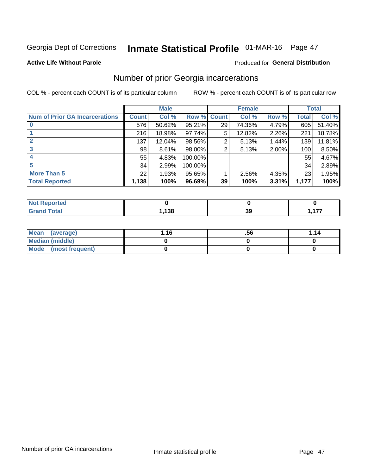## Inmate Statistical Profile 01-MAR-16 Page 47

#### **Active Life Without Parole**

#### **Produced for General Distribution**

### Number of prior Georgia incarcerations

COL % - percent each COUNT is of its particular column

|                                       |              | <b>Male</b> |                    |    | <b>Female</b> |          |       | <b>Total</b> |
|---------------------------------------|--------------|-------------|--------------------|----|---------------|----------|-------|--------------|
| <b>Num of Prior GA Incarcerations</b> | <b>Count</b> | Col %       | <b>Row % Count</b> |    | Col %         | Row %    | Total | Col %        |
|                                       | 576          | 50.62%      | 95.21%             | 29 | 74.36%        | 4.79%    | 605   | 51.40%       |
|                                       | 216          | 18.98%      | 97.74%             | 5  | 12.82%        | 2.26%    | 221   | 18.78%       |
|                                       | 137          | 12.04%      | 98.56%             | 2  | 5.13%         | 1.44%    | 139   | 11.81%       |
| 3                                     | 98           | 8.61%       | 98.00%             | 2  | 5.13%         | $2.00\%$ | 100   | 8.50%        |
| 4                                     | 55           | 4.83%       | 100.00%            |    |               |          | 55    | 4.67%        |
| 5                                     | 34           | 2.99%       | 100.00%            |    |               |          | 34    | 2.89%        |
| <b>More Than 5</b>                    | 22           | 1.93%       | 95.65%             |    | 2.56%         | 4.35%    | 23    | 1.95%        |
| <b>Total Reported</b>                 | 1,138        | 100%        | 96.69%             | 39 | 100%          | 3.31%    | 1,177 | 100%         |

| orted<br>N       |       |     |     |
|------------------|-------|-----|-----|
| <b>otal</b>      | 1,138 | -20 | --- |
| $\mathbf{v}$ and |       | v   | .   |

| Mean (average)       | 1.16 | .56 | 1.14 |
|----------------------|------|-----|------|
| Median (middle)      |      |     |      |
| Mode (most frequent) |      |     |      |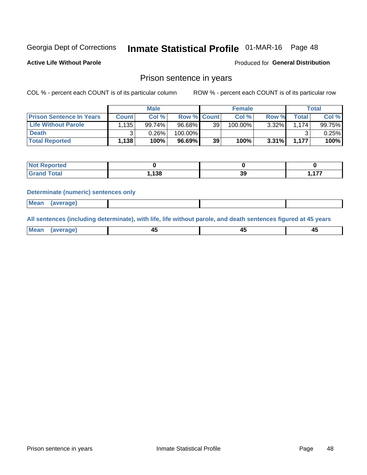## Inmate Statistical Profile 01-MAR-16 Page 48

**Active Life Without Parole** 

Produced for General Distribution

#### Prison sentence in years

COL % - percent each COUNT is of its particular column

ROW % - percent each COUNT is of its particular row

|                                 |        | <b>Male</b> |           |                    | <b>Female</b> |       |              | Total           |
|---------------------------------|--------|-------------|-----------|--------------------|---------------|-------|--------------|-----------------|
| <b>Prison Sentence In Years</b> | Count  | Col %       |           | <b>Row % Count</b> | Col %         | Row % | <b>Total</b> | Col %           |
| <b>Life Without Parole</b>      | 1,135' | 99.74%      | $96.68\%$ | 39 <sub>1</sub>    | $100.00\%$    | 3.32% | . 174        | 99.75% <b>I</b> |
| <b>Death</b>                    |        | 0.26%       | 100.00%   |                    |               |       |              | 0.25%           |
| <b>Total Reported</b>           | 1,138  | 100%        | $96.69\%$ | 39                 | 100%          | 3.31% | 1,177        | 100%            |

| oorted      |       |     |                |
|-------------|-------|-----|----------------|
| <b>otal</b> | 120   | or. | $\overline{a}$ |
|             | . 190 | دد. | .              |

#### **Determinate (numeric) sentences only**

| ' Mea<br><b>Service</b> A<br>ЯМА. |  |  |  |
|-----------------------------------|--|--|--|
|                                   |  |  |  |

All sentences (including determinate), with life, life without parole, and death sentences figured at 45 years

| l Mea<br>'ЯМА<br>.<br> | ᠇<br>$\sim$ | $\sim$ |  |
|------------------------|-------------|--------|--|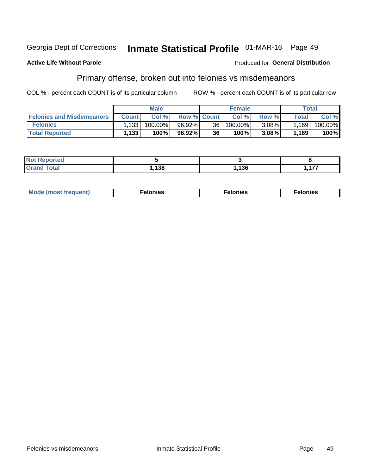#### Inmate Statistical Profile 01-MAR-16 Page 49 Georgia Dept of Corrections

#### **Active Life Without Parole**

#### **Produced for General Distribution**

### Primary offense, broken out into felonies vs misdemeanors

COL % - percent each COUNT is of its particular column

|                                  |              | <b>Male</b> |                    |                 | <b>Female</b> |          |                    | Total   |
|----------------------------------|--------------|-------------|--------------------|-----------------|---------------|----------|--------------------|---------|
| <b>Felonies and Misdemeanors</b> | <b>Count</b> | Col%        | <b>Row % Count</b> |                 | Col%          | Row %    | Total <sub>1</sub> | Col %   |
| <b>Felonies</b>                  | .133         | 100.00%     | 96.92%             | 36 <sup>2</sup> | $100.00\%$    | $3.08\%$ | 1,169              | 100.00% |
| <b>Total Reported</b>            | .133         | 100%        | 96.92%             | 36              | 100%          | 3.08%    | 1,169              | 100%    |

| <b>Not Reported</b> |       |      |          |
|---------------------|-------|------|----------|
| <b>Grand Total</b>  | , 138 | ,136 | 477<br>. |

| <b>Mode</b><br>frequent)<br>nies<br>≧ (most tr.<br>. | onies<br>. | lonies<br>ею<br>____ |
|------------------------------------------------------|------------|----------------------|
|------------------------------------------------------|------------|----------------------|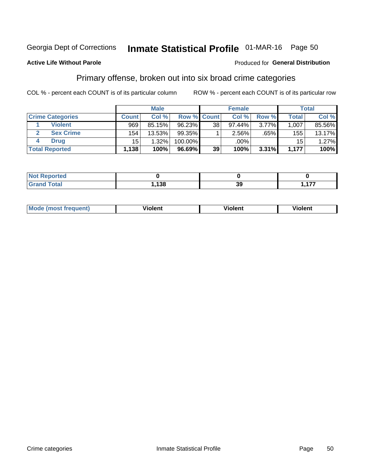## Inmate Statistical Profile 01-MAR-16 Page 50

#### **Active Life Without Parole**

#### Produced for General Distribution

### Primary offense, broken out into six broad crime categories

COL % - percent each COUNT is of its particular column

|                         |              | <b>Male</b> |                    |    | <b>Female</b> |          |                 | Total    |
|-------------------------|--------------|-------------|--------------------|----|---------------|----------|-----------------|----------|
| <b>Crime Categories</b> | <b>Count</b> | Col %       | <b>Row % Count</b> |    | Col %         | Row %    | <b>Total</b>    | Col %    |
| <b>Violent</b>          | 969          | 85.15%      | 96.23%             | 38 | $97.44\%$     | $3.77\%$ | 1,007           | 85.56%   |
| <b>Sex Crime</b>        | 154          | 13.53%      | $99.35\%$          |    | 2.56%         | .65%     | 155             | 13.17%   |
| <b>Drug</b>             | 15           | 1.32%       | 100.00%            |    | .00%          |          | 15 <sup>1</sup> | $1.27\%$ |
| <b>Total Reported</b>   | 1,138        | 100%        | 96.69%             | 39 | 100%          | $3.31\%$ | 1.177           | 100%     |

| _____ | ,138 | ^^<br>va | . |
|-------|------|----------|---|

| Mo<br>quenti | .<br>iolent<br>ΊΙ. | --<br>olent | .<br>'ent |
|--------------|--------------------|-------------|-----------|
|              |                    |             |           |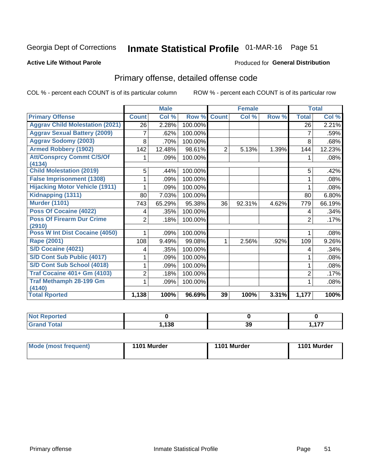## Inmate Statistical Profile 01-MAR-16 Page 51

#### **Active Life Without Parole**

#### **Produced for General Distribution**

## Primary offense, detailed offense code

COL % - percent each COUNT is of its particular column

|                                            |                | <b>Male</b> |         |                | <b>Female</b> |       | <b>Total</b>   |        |
|--------------------------------------------|----------------|-------------|---------|----------------|---------------|-------|----------------|--------|
| <b>Primary Offense</b>                     | <b>Count</b>   | Col %       | Row %   | <b>Count</b>   | Col %         | Row % | <b>Total</b>   | Col %  |
| <b>Aggrav Child Molestation (2021)</b>     | 26             | 2.28%       | 100.00% |                |               |       | 26             | 2.21%  |
| <b>Aggrav Sexual Battery (2009)</b>        | 7              | .62%        | 100.00% |                |               |       | $\overline{7}$ | .59%   |
| <b>Aggrav Sodomy (2003)</b>                | 8              | .70%        | 100.00% |                |               |       | 8              | .68%   |
| <b>Armed Robbery (1902)</b>                | 142            | 12.48%      | 98.61%  | $\overline{2}$ | 5.13%         | 1.39% | 144            | 12.23% |
| <b>Att/Consprcy Commt C/S/Of</b>           |                | .09%        | 100.00% |                |               |       |                | .08%   |
| (4134)                                     |                |             |         |                |               |       |                |        |
| <b>Child Molestation (2019)</b>            | 5              | .44%        | 100.00% |                |               |       | 5              | .42%   |
| <b>False Imprisonment (1308)</b>           |                | .09%        | 100.00% |                |               |       |                | .08%   |
| <b>Hijacking Motor Vehicle (1911)</b>      |                | .09%        | 100.00% |                |               |       |                | .08%   |
| Kidnapping (1311)                          | 80             | 7.03%       | 100.00% |                |               |       | 80             | 6.80%  |
| <b>Murder (1101)</b>                       | 743            | 65.29%      | 95.38%  | 36             | 92.31%        | 4.62% | 779            | 66.19% |
| Poss Of Cocaine (4022)                     | 4              | .35%        | 100.00% |                |               |       | 4              | .34%   |
| <b>Poss Of Firearm Dur Crime</b><br>(2910) | 2              | .18%        | 100.00% |                |               |       | $\overline{2}$ | .17%   |
| Poss W Int Dist Cocaine (4050)             |                | .09%        | 100.00% |                |               |       |                | .08%   |
| <b>Rape (2001)</b>                         | 108            | 9.49%       | 99.08%  | 1              | 2.56%         | .92%  | 109            | 9.26%  |
| S/D Cocaine (4021)                         | 4              | .35%        | 100.00% |                |               |       | 4              | .34%   |
| S/D Cont Sub Public (4017)                 |                | .09%        | 100.00% |                |               |       |                | .08%   |
| S/D Cont Sub School (4018)                 |                | .09%        | 100.00% |                |               |       |                | .08%   |
| <b>Traf Cocaine 401+ Gm (4103)</b>         | $\overline{2}$ | .18%        | 100.00% |                |               |       | $\overline{2}$ | .17%   |
| <b>Traf Methamph 28-199 Gm</b>             |                | .09%        | 100.00% |                |               |       |                | .08%   |
| (4140)                                     |                |             |         |                |               |       |                |        |
| <b>Total Rported</b>                       | 1,138          | 100%        | 96.69%  | 39             | 100%          | 3.31% | 1,177          | 100%   |

| 138 | 70<br>JJ | $\overline{\phantom{a}}$<br>. |
|-----|----------|-------------------------------|

| 1101 Murder<br>Mode (most frequent)<br>1101 Murder | 1101 Murder |
|----------------------------------------------------|-------------|
|----------------------------------------------------|-------------|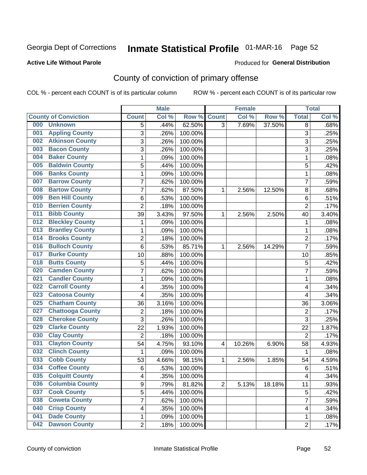## Inmate Statistical Profile 01-MAR-16 Page 52

#### **Active Life Without Parole**

#### Produced for General Distribution

## County of conviction of primary offense

COL % - percent each COUNT is of its particular column

|     |                             |                | <b>Male</b> |         |                | <b>Female</b> |        |                | <b>Total</b> |
|-----|-----------------------------|----------------|-------------|---------|----------------|---------------|--------|----------------|--------------|
|     | <b>County of Conviction</b> | <b>Count</b>   | Col %       | Row %   | <b>Count</b>   | Col %         | Row %  | <b>Total</b>   | Col %        |
| 000 | <b>Unknown</b>              | 5              | .44%        | 62.50%  | $\overline{3}$ | 7.69%         | 37.50% | 8              | .68%         |
| 001 | <b>Appling County</b>       | 3              | .26%        | 100.00% |                |               |        | 3              | .25%         |
| 002 | <b>Atkinson County</b>      | 3              | .26%        | 100.00% |                |               |        | 3              | .25%         |
| 003 | <b>Bacon County</b>         | 3              | .26%        | 100.00% |                |               |        | $\overline{3}$ | .25%         |
| 004 | <b>Baker County</b>         | $\mathbf{1}$   | .09%        | 100.00% |                |               |        | $\mathbf{1}$   | .08%         |
| 005 | <b>Baldwin County</b>       | 5              | .44%        | 100.00% |                |               |        | 5              | .42%         |
| 006 | <b>Banks County</b>         | $\mathbf 1$    | .09%        | 100.00% |                |               |        | $\mathbf{1}$   | .08%         |
| 007 | <b>Barrow County</b>        | 7              | .62%        | 100.00% |                |               |        | $\overline{7}$ | .59%         |
| 008 | <b>Bartow County</b>        | 7              | .62%        | 87.50%  | 1              | 2.56%         | 12.50% | 8              | .68%         |
| 009 | <b>Ben Hill County</b>      | 6              | .53%        | 100.00% |                |               |        | 6              | .51%         |
| 010 | <b>Berrien County</b>       | $\overline{2}$ | .18%        | 100.00% |                |               |        | $\overline{2}$ | .17%         |
| 011 | <b>Bibb County</b>          | 39             | 3.43%       | 97.50%  | 1              | 2.56%         | 2.50%  | 40             | 3.40%        |
| 012 | <b>Bleckley County</b>      | $\mathbf{1}$   | .09%        | 100.00% |                |               |        | $\mathbf{1}$   | .08%         |
| 013 | <b>Brantley County</b>      | $\mathbf{1}$   | .09%        | 100.00% |                |               |        | $\mathbf{1}$   | .08%         |
| 014 | <b>Brooks County</b>        | $\overline{c}$ | .18%        | 100.00% |                |               |        | $\overline{2}$ | .17%         |
| 016 | <b>Bulloch County</b>       | 6              | .53%        | 85.71%  | 1              | 2.56%         | 14.29% | $\overline{7}$ | .59%         |
| 017 | <b>Burke County</b>         | 10             | .88%        | 100.00% |                |               |        | 10             | .85%         |
| 018 | <b>Butts County</b>         | 5              | .44%        | 100.00% |                |               |        | 5              | .42%         |
| 020 | <b>Camden County</b>        | $\overline{7}$ | .62%        | 100.00% |                |               |        | $\overline{7}$ | .59%         |
| 021 | <b>Candler County</b>       | $\mathbf{1}$   | .09%        | 100.00% |                |               |        | $\mathbf{1}$   | .08%         |
| 022 | <b>Carroll County</b>       | 4              | .35%        | 100.00% |                |               |        | 4              | .34%         |
| 023 | <b>Catoosa County</b>       | 4              | .35%        | 100.00% |                |               |        | 4              | .34%         |
| 025 | <b>Chatham County</b>       | 36             | 3.16%       | 100.00% |                |               |        | 36             | 3.06%        |
| 027 | <b>Chattooga County</b>     | $\overline{2}$ | .18%        | 100.00% |                |               |        | $\overline{2}$ | .17%         |
| 028 | <b>Cherokee County</b>      | 3              | .26%        | 100.00% |                |               |        | 3              | .25%         |
| 029 | <b>Clarke County</b>        | 22             | 1.93%       | 100.00% |                |               |        | 22             | 1.87%        |
| 030 | <b>Clay County</b>          | $\overline{2}$ | .18%        | 100.00% |                |               |        | $\overline{2}$ | .17%         |
| 031 | <b>Clayton County</b>       | 54             | 4.75%       | 93.10%  | 4              | 10.26%        | 6.90%  | 58             | 4.93%        |
| 032 | <b>Clinch County</b>        | $\mathbf{1}$   | .09%        | 100.00% |                |               |        | $\mathbf{1}$   | .08%         |
| 033 | <b>Cobb County</b>          | 53             | 4.66%       | 98.15%  | 1              | 2.56%         | 1.85%  | 54             | 4.59%        |
| 034 | <b>Coffee County</b>        | $\,6$          | .53%        | 100.00% |                |               |        | 6              | .51%         |
| 035 | <b>Colquitt County</b>      | 4              | .35%        | 100.00% |                |               |        | 4              | .34%         |
| 036 | <b>Columbia County</b>      | 9              | .79%        | 81.82%  | $\overline{2}$ | 5.13%         | 18.18% | 11             | .93%         |
| 037 | <b>Cook County</b>          | 5              | .44%        | 100.00% |                |               |        | 5              | .42%         |
| 038 | <b>Coweta County</b>        | $\overline{7}$ | .62%        | 100.00% |                |               |        | $\overline{7}$ | .59%         |
| 040 | <b>Crisp County</b>         | 4              | .35%        | 100.00% |                |               |        | 4              | .34%         |
| 041 | <b>Dade County</b>          | 1              | .09%        | 100.00% |                |               |        | 1              | .08%         |
| 042 | <b>Dawson County</b>        | $\overline{2}$ | .18%        | 100.00% |                |               |        | $\overline{2}$ | .17%         |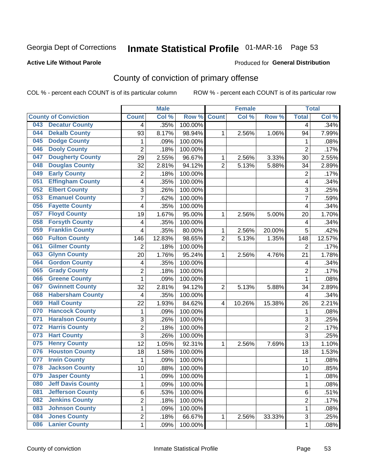## Inmate Statistical Profile 01-MAR-16 Page 53

#### **Active Life Without Parole**

#### Produced for General Distribution

## County of conviction of primary offense

COL % - percent each COUNT is of its particular column

|     |                             |                         | <b>Male</b> |         |                | <b>Female</b> |        |                | <b>Total</b> |
|-----|-----------------------------|-------------------------|-------------|---------|----------------|---------------|--------|----------------|--------------|
|     | <b>County of Conviction</b> | <b>Count</b>            | Col %       | Row %   | <b>Count</b>   | Col %         | Row %  | <b>Total</b>   | Col %        |
| 043 | <b>Decatur County</b>       | 4                       | .35%        | 100.00% |                |               |        | 4              | .34%         |
| 044 | <b>Dekalb County</b>        | 93                      | 8.17%       | 98.94%  | 1              | 2.56%         | 1.06%  | 94             | 7.99%        |
| 045 | <b>Dodge County</b>         | $\mathbf{1}$            | .09%        | 100.00% |                |               |        | 1              | .08%         |
| 046 | <b>Dooly County</b>         | $\overline{2}$          | .18%        | 100.00% |                |               |        | $\overline{2}$ | .17%         |
| 047 | <b>Dougherty County</b>     | 29                      | 2.55%       | 96.67%  | 1              | 2.56%         | 3.33%  | 30             | 2.55%        |
| 048 | <b>Douglas County</b>       | 32                      | 2.81%       | 94.12%  | $\overline{2}$ | 5.13%         | 5.88%  | 34             | 2.89%        |
| 049 | <b>Early County</b>         | $\overline{c}$          | .18%        | 100.00% |                |               |        | $\overline{2}$ | .17%         |
| 051 | <b>Effingham County</b>     | 4                       | .35%        | 100.00% |                |               |        | 4              | .34%         |
| 052 | <b>Elbert County</b>        | 3                       | .26%        | 100.00% |                |               |        | 3              | .25%         |
| 053 | <b>Emanuel County</b>       | $\overline{7}$          | .62%        | 100.00% |                |               |        | 7              | .59%         |
| 056 | <b>Fayette County</b>       | 4                       | .35%        | 100.00% |                |               |        | 4              | .34%         |
| 057 | <b>Floyd County</b>         | 19                      | 1.67%       | 95.00%  | 1              | 2.56%         | 5.00%  | 20             | 1.70%        |
| 058 | <b>Forsyth County</b>       | 4                       | .35%        | 100.00% |                |               |        | 4              | .34%         |
| 059 | <b>Franklin County</b>      | 4                       | .35%        | 80.00%  | 1              | 2.56%         | 20.00% | 5              | .42%         |
| 060 | <b>Fulton County</b>        | 146                     | 12.83%      | 98.65%  | $\overline{2}$ | 5.13%         | 1.35%  | 148            | 12.57%       |
| 061 | <b>Gilmer County</b>        | $\overline{2}$          | .18%        | 100.00% |                |               |        | $\overline{2}$ | .17%         |
| 063 | <b>Glynn County</b>         | 20                      | 1.76%       | 95.24%  | 1              | 2.56%         | 4.76%  | 21             | 1.78%        |
| 064 | <b>Gordon County</b>        | 4                       | .35%        | 100.00% |                |               |        | 4              | .34%         |
| 065 | <b>Grady County</b>         | $\overline{2}$          | .18%        | 100.00% |                |               |        | $\overline{2}$ | .17%         |
| 066 | <b>Greene County</b>        | 1                       | .09%        | 100.00% |                |               |        | 1              | .08%         |
| 067 | <b>Gwinnett County</b>      | 32                      | 2.81%       | 94.12%  | $\overline{2}$ | 5.13%         | 5.88%  | 34             | 2.89%        |
| 068 | <b>Habersham County</b>     | $\overline{4}$          | .35%        | 100.00% |                |               |        | 4              | .34%         |
| 069 | <b>Hall County</b>          | 22                      | 1.93%       | 84.62%  | 4              | 10.26%        | 15.38% | 26             | 2.21%        |
| 070 | <b>Hancock County</b>       | 1                       | .09%        | 100.00% |                |               |        | 1              | .08%         |
| 071 | <b>Haralson County</b>      | 3                       | .26%        | 100.00% |                |               |        | 3              | .25%         |
| 072 | <b>Harris County</b>        | $\overline{2}$          | .18%        | 100.00% |                |               |        | $\overline{2}$ | .17%         |
| 073 | <b>Hart County</b>          | 3                       | .26%        | 100.00% |                |               |        | 3              | .25%         |
| 075 | <b>Henry County</b>         | 12                      | 1.05%       | 92.31%  | 1              | 2.56%         | 7.69%  | 13             | 1.10%        |
| 076 | <b>Houston County</b>       | 18                      | 1.58%       | 100.00% |                |               |        | 18             | 1.53%        |
| 077 | <b>Irwin County</b>         | $\mathbf{1}$            | .09%        | 100.00% |                |               |        | $\mathbf{1}$   | .08%         |
| 078 | <b>Jackson County</b>       | 10                      | .88%        | 100.00% |                |               |        | 10             | .85%         |
| 079 | <b>Jasper County</b>        | 1                       | .09%        | 100.00% |                |               |        | 1              | .08%         |
| 080 | <b>Jeff Davis County</b>    | 1                       | .09%        | 100.00% |                |               |        | $\mathbf{1}$   | .08%         |
| 081 | <b>Jefferson County</b>     | 6                       | .53%        | 100.00% |                |               |        | 6              | .51%         |
| 082 | <b>Jenkins County</b>       | $\overline{\mathbf{c}}$ | .18%        | 100.00% |                |               |        | $\overline{2}$ | .17%         |
| 083 | <b>Johnson County</b>       | 1                       | .09%        | 100.00% |                |               |        | $\mathbf{1}$   | .08%         |
| 084 | <b>Jones County</b>         | 2                       | .18%        | 66.67%  | $\mathbf{1}$   | 2.56%         | 33.33% | 3              | .25%         |
| 086 | <b>Lanier County</b>        | $\mathbf 1$             | .09%        | 100.00% |                |               |        | 1              | .08%         |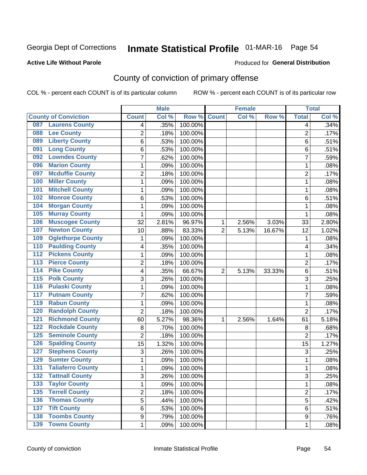## Inmate Statistical Profile 01-MAR-16 Page 54

#### **Active Life Without Parole**

#### **Produced for General Distribution**

## County of conviction of primary offense

COL % - percent each COUNT is of its particular column

|                                            |                | <b>Male</b> |                  |                | <b>Female</b> |        |                | <b>Total</b> |
|--------------------------------------------|----------------|-------------|------------------|----------------|---------------|--------|----------------|--------------|
| <b>County of Conviction</b>                | <b>Count</b>   | Col %       | Row <sup>%</sup> | <b>Count</b>   | Col %         | Row %  | <b>Total</b>   | Col %        |
| <b>Laurens County</b><br>087               | 4              | .35%        | 100.00%          |                |               |        | 4              | .34%         |
| <b>Lee County</b><br>088                   | 2              | .18%        | 100.00%          |                |               |        | $\overline{2}$ | .17%         |
| <b>Liberty County</b><br>089               | 6              | .53%        | 100.00%          |                |               |        | 6              | .51%         |
| <b>Long County</b><br>091                  | 6              | .53%        | 100.00%          |                |               |        | 6              | .51%         |
| <b>Lowndes County</b><br>092               | 7              | .62%        | 100.00%          |                |               |        | $\overline{7}$ | .59%         |
| <b>Marion County</b><br>096                | 1              | .09%        | 100.00%          |                |               |        | 1              | .08%         |
| <b>Mcduffie County</b><br>097              | $\overline{2}$ | .18%        | 100.00%          |                |               |        | $\overline{2}$ | .17%         |
| <b>Miller County</b><br>100                | 1              | .09%        | 100.00%          |                |               |        | 1              | .08%         |
| <b>Mitchell County</b><br>101              | 1              | .09%        | 100.00%          |                |               |        | 1              | .08%         |
| <b>Monroe County</b><br>102                | 6              | .53%        | 100.00%          |                |               |        | 6              | .51%         |
| <b>Morgan County</b><br>104                | 1              | .09%        | 100.00%          |                |               |        | 1              | .08%         |
| <b>Murray County</b><br>105                | 1              | .09%        | 100.00%          |                |               |        | 1              | .08%         |
| <b>Muscogee County</b><br>106              | 32             | 2.81%       | 96.97%           | 1              | 2.56%         | 3.03%  | 33             | 2.80%        |
| <b>Newton County</b><br>107                | 10             | .88%        | 83.33%           | $\overline{2}$ | 5.13%         | 16.67% | 12             | 1.02%        |
| <b>Oglethorpe County</b><br>109            | 1              | .09%        | 100.00%          |                |               |        | 1              | .08%         |
| <b>Paulding County</b><br>110              | 4              | .35%        | 100.00%          |                |               |        | 4              | .34%         |
| <b>Pickens County</b><br>112               | 1              | .09%        | 100.00%          |                |               |        | 1              | .08%         |
| <b>Pierce County</b><br>113                | $\overline{2}$ | .18%        | 100.00%          |                |               |        | $\overline{2}$ | .17%         |
| <b>Pike County</b><br>$\overline{114}$     | 4              | .35%        | 66.67%           | $\overline{2}$ | 5.13%         | 33.33% | 6              | .51%         |
| <b>Polk County</b><br>115                  | 3              | .26%        | 100.00%          |                |               |        | 3              | .25%         |
| <b>Pulaski County</b><br>116               | 1              | .09%        | 100.00%          |                |               |        | 1              | .08%         |
| <b>Putnam County</b><br>117                | 7              | .62%        | 100.00%          |                |               |        | $\overline{7}$ | .59%         |
| <b>Rabun County</b><br>119                 | 1              | .09%        | 100.00%          |                |               |        | 1              | .08%         |
| <b>Randolph County</b><br>120              | $\overline{2}$ | .18%        | 100.00%          |                |               |        | $\overline{2}$ | .17%         |
| <b>Richmond County</b><br>121              | 60             | 5.27%       | 98.36%           | 1              | 2.56%         | 1.64%  | 61             | 5.18%        |
| <b>Rockdale County</b><br>122              | 8              | .70%        | 100.00%          |                |               |        | 8              | .68%         |
| <b>Seminole County</b><br>125              | $\overline{2}$ | .18%        | 100.00%          |                |               |        | $\overline{2}$ | .17%         |
| <b>Spalding County</b><br>126              | 15             | 1.32%       | 100.00%          |                |               |        | 15             | 1.27%        |
| <b>Stephens County</b><br>127              | 3              | .26%        | 100.00%          |                |               |        | 3              | .25%         |
| <b>Sumter County</b><br>129                | 1              | .09%        | 100.00%          |                |               |        | 1              | .08%         |
| <b>Taliaferro County</b><br>131            | 1              | .09%        | 100.00%          |                |               |        | 1              | .08%         |
| $\overline{132}$<br><b>Tattnall County</b> | 3              | .26%        | 100.00%          |                |               |        | 3              | .25%         |
| <b>Taylor County</b><br>133                | 1              | .09%        | 100.00%          |                |               |        | $\mathbf{1}$   | .08%         |
| <b>Terrell County</b><br>135               | $\overline{2}$ | .18%        | 100.00%          |                |               |        | $\overline{c}$ | .17%         |
| <b>Thomas County</b><br>136                | 5              | .44%        | 100.00%          |                |               |        | 5              | .42%         |
| <b>Tift County</b><br>137                  | 6              | .53%        | 100.00%          |                |               |        | 6              | .51%         |
| <b>Toombs County</b><br>138                | 9              | .79%        | 100.00%          |                |               |        | 9              | .76%         |
| <b>139 Towns County</b>                    | 1              | .09%        | 100.00%          |                |               |        | 1              | .08%         |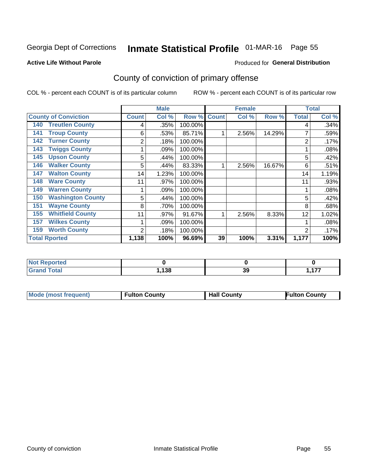## Inmate Statistical Profile 01-MAR-16 Page 55

#### **Active Life Without Parole**

#### **Produced for General Distribution**

## County of conviction of primary offense

COL % - percent each COUNT is of its particular column

|                                 |              | <b>Male</b> |         |              | <b>Female</b> |        | <b>Total</b>   |       |
|---------------------------------|--------------|-------------|---------|--------------|---------------|--------|----------------|-------|
| <b>County of Conviction</b>     | <b>Count</b> | Col %       | Row %   | <b>Count</b> | Col %         | Row %  | <b>Total</b>   | Col % |
| <b>Treutlen County</b><br>140   | 4            | .35%        | 100.00% |              |               |        | 4              | .34%  |
| <b>Troup County</b><br>141      | 6            | .53%        | 85.71%  |              | 2.56%         | 14.29% |                | .59%  |
| <b>Turner County</b><br>142     | 2            | .18%        | 100.00% |              |               |        | 2              | .17%  |
| <b>Twiggs County</b><br>143     |              | .09%        | 100.00% |              |               |        |                | .08%  |
| <b>Upson County</b><br>145      | 5            | .44%        | 100.00% |              |               |        | 5              | .42%  |
| <b>Walker County</b><br>146     | 5            | .44%        | 83.33%  | 1            | 2.56%         | 16.67% | 6              | .51%  |
| <b>Walton County</b><br>147     | 14           | 1.23%       | 100.00% |              |               |        | 14             | 1.19% |
| <b>Ware County</b><br>148       | 11           | .97%        | 100.00% |              |               |        | 11             | .93%  |
| <b>Warren County</b><br>149     |              | .09%        | 100.00% |              |               |        |                | .08%  |
| <b>Washington County</b><br>150 | 5            | .44%        | 100.00% |              |               |        | 5              | .42%  |
| <b>Wayne County</b><br>151      | 8            | .70%        | 100.00% |              |               |        | 8              | .68%  |
| <b>Whitfield County</b><br>155  | 11           | .97%        | 91.67%  |              | 2.56%         | 8.33%  | 12             | 1.02% |
| <b>Wilkes County</b><br>157     |              | .09%        | 100.00% |              |               |        |                | .08%  |
| <b>Worth County</b><br>159      | 2            | .18%        | 100.00% |              |               |        | $\overline{2}$ | .17%  |
| <b>Total Rported</b>            | 1,138        | 100%        | 96.69%  | 39           | 100%          | 3.31%  | 1,177          | 100%  |

| eported<br>NO.               |       |    |                            |
|------------------------------|-------|----|----------------------------|
| <b>Total</b><br><b>Grand</b> | 138،، | 39 | $\overline{1}$<br>. .<br>. |

| <b>Mode (most frequent)</b> | <b>Fulton County</b> | <b>Hall County</b> | <b>Fulton County</b> |
|-----------------------------|----------------------|--------------------|----------------------|
|                             |                      |                    |                      |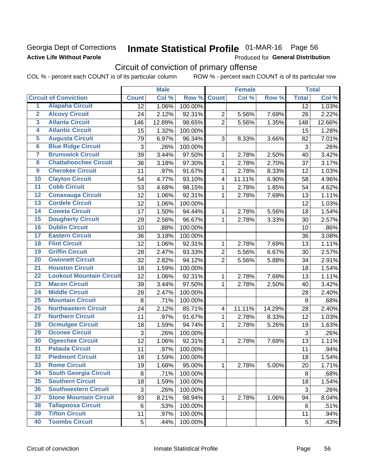### Georgia Dept of Corrections **Active Life Without Parole**

## Inmate Statistical Profile 01-MAR-16 Page 56

Produced for General Distribution

## Circuit of conviction of primary offense

COL % - percent each COUNT is of its particular column ROW % - percent each COUNT is of its particular row

|                         |                                 |              | <b>Male</b> |         |                         | <b>Female</b> |        |                 | <b>Total</b> |
|-------------------------|---------------------------------|--------------|-------------|---------|-------------------------|---------------|--------|-----------------|--------------|
|                         | <b>Circuit of Conviction</b>    | <b>Count</b> | Col %       | Row %   | <b>Count</b>            | Col %         | Row %  | <b>Total</b>    | Col %        |
| 1                       | <b>Alapaha Circuit</b>          | 12           | 1.06%       | 100.00% |                         |               |        | $\overline{12}$ | 1.03%        |
| $\overline{2}$          | <b>Alcovy Circuit</b>           | 24           | 2.12%       | 92.31%  | $\overline{2}$          | 5.56%         | 7.69%  | 26              | 2.22%        |
| $\overline{\mathbf{3}}$ | <b>Atlanta Circuit</b>          | 146          | 12.89%      | 98.65%  | $\overline{2}$          | 5.56%         | 1.35%  | 148             | 12.66%       |
| 4                       | <b>Atlantic Circuit</b>         | 15           | 1.32%       | 100.00% |                         |               |        | 15              | 1.28%        |
| 5                       | <b>Augusta Circuit</b>          | 79           | 6.97%       | 96.34%  | 3                       | 8.33%         | 3.66%  | 82              | 7.01%        |
| $\overline{\bf{6}}$     | <b>Blue Ridge Circuit</b>       | 3            | .26%        | 100.00% |                         |               |        | 3               | .26%         |
| $\overline{7}$          | <b>Brunswick Circuit</b>        | 39           | 3.44%       | 97.50%  | 1                       | 2.78%         | 2.50%  | 40              | 3.42%        |
| $\overline{\mathbf{8}}$ | <b>Chattahoochee Circuit</b>    | 36           | 3.18%       | 97.30%  | 1                       | 2.78%         | 2.70%  | 37              | 3.17%        |
| $\overline{9}$          | <b>Cherokee Circuit</b>         | 11           | .97%        | 91.67%  | 1                       | 2.78%         | 8.33%  | 12              | 1.03%        |
| 10                      | <b>Clayton Circuit</b>          | 54           | 4.77%       | 93.10%  | $\overline{\mathbf{4}}$ | 11.11%        | 6.90%  | 58              | 4.96%        |
| $\overline{11}$         | <b>Cobb Circuit</b>             | 53           | 4.68%       | 98.15%  | 1                       | 2.78%         | 1.85%  | 54              | 4.62%        |
| $\overline{12}$         | <b>Conasauga Circuit</b>        | 12           | 1.06%       | 92.31%  | 1                       | 2.78%         | 7.69%  | 13              | 1.11%        |
| 13                      | <b>Cordele Circuit</b>          | 12           | 1.06%       | 100.00% |                         |               |        | 12              | 1.03%        |
| 14                      | <b>Coweta Circuit</b>           | 17           | 1.50%       | 94.44%  | 1                       | 2.78%         | 5.56%  | 18              | 1.54%        |
| 15                      | <b>Dougherty Circuit</b>        | 29           | 2.56%       | 96.67%  | $\mathbf{1}$            | 2.78%         | 3.33%  | 30              | 2.57%        |
| 16                      | <b>Dublin Circuit</b>           | 10           | .88%        | 100.00% |                         |               |        | 10              | .86%         |
| 17                      | <b>Eastern Circuit</b>          | 36           | 3.18%       | 100.00% |                         |               |        | 36              | 3.08%        |
| 18                      | <b>Flint Circuit</b>            | 12           | 1.06%       | 92.31%  | 1                       | 2.78%         | 7.69%  | 13              | 1.11%        |
| 19                      | <b>Griffin Circuit</b>          | 28           | 2.47%       | 93.33%  | $\overline{2}$          | 5.56%         | 6.67%  | 30              | 2.57%        |
| 20                      | <b>Gwinnett Circuit</b>         | 32           | 2.82%       | 94.12%  | $\overline{2}$          | 5.56%         | 5.88%  | 34              | 2.91%        |
| $\overline{21}$         | <b>Houston Circuit</b>          | 18           | 1.59%       | 100.00% |                         |               |        | 18              | 1.54%        |
| $\overline{22}$         | <b>Lookout Mountain Circuit</b> | 12           | 1.06%       | 92.31%  | $\mathbf{1}$            | 2.78%         | 7.69%  | 13              | 1.11%        |
| 23                      | <b>Macon Circuit</b>            | 39           | 3.44%       | 97.50%  | 1                       | 2.78%         | 2.50%  | 40              | 3.42%        |
| $\overline{24}$         | <b>Middle Circuit</b>           | 28           | 2.47%       | 100.00% |                         |               |        | 28              | 2.40%        |
| 25                      | <b>Mountain Circuit</b>         | 8            | .71%        | 100.00% |                         |               |        | 8               | .68%         |
| 26                      | <b>Northeastern Circuit</b>     | 24           | 2.12%       | 85.71%  | $\overline{\mathbf{4}}$ | 11.11%        | 14.29% | 28              | 2.40%        |
| $\overline{27}$         | <b>Northern Circuit</b>         | 11           | .97%        | 91.67%  | 1                       | 2.78%         | 8.33%  | 12              | 1.03%        |
| 28                      | <b>Ocmulgee Circuit</b>         | 18           | 1.59%       | 94.74%  | 1                       | 2.78%         | 5.26%  | 19              | 1.63%        |
| 29                      | <b>Oconee Circuit</b>           | 3            | .26%        | 100.00% |                         |               |        | $\mathbf{3}$    | .26%         |
| 30                      | <b>Ogeechee Circuit</b>         | 12           | 1.06%       | 92.31%  | 1                       | 2.78%         | 7.69%  | 13              | 1.11%        |
| $\overline{31}$         | <b>Pataula Circuit</b>          | 11           | .97%        | 100.00% |                         |               |        | 11              | .94%         |
| $\overline{32}$         | <b>Piedmont Circuit</b>         | 18           | 1.59%       | 100.00% |                         |               |        | 18              | 1.54%        |
| 33                      | <b>Rome Circuit</b>             | 19           | 1.68%       | 95.00%  | 1                       | 2.78%         | 5.00%  | 20              | 1.71%        |
| 34                      | <b>South Georgia Circuit</b>    | 8            | .71%        | 100.00% |                         |               |        | 8               | .68%         |
| 35                      | <b>Southern Circuit</b>         | 18           | 1.59%       | 100.00% |                         |               |        | 18              | 1.54%        |
| 36                      | <b>Southwestern Circuit</b>     | 3            | .26%        | 100.00% |                         |               |        | 3               | .26%         |
| 37                      | <b>Stone Mountain Circuit</b>   | 93           | 8.21%       | 98.94%  | 1                       | 2.78%         | 1.06%  | 94              | 8.04%        |
| 38                      | <b>Tallapoosa Circuit</b>       | 6            | .53%        | 100.00% |                         |               |        | 6               | .51%         |
| 39                      | <b>Tifton Circuit</b>           | 11           | .97%        | 100.00% |                         |               |        | 11              | .94%         |
| 40                      | <b>Toombs Circuit</b>           | 5            | .44%        | 100.00% |                         |               |        | 5               | .43%         |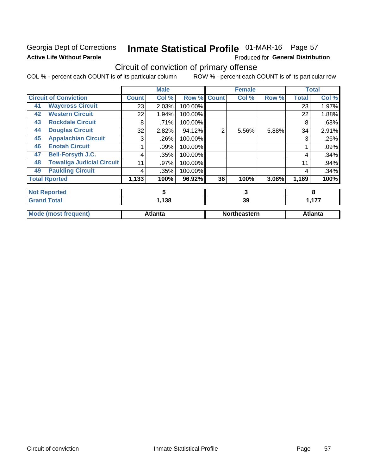### Georgia Dept of Corrections **Active Life Without Parole**

## Inmate Statistical Profile 01-MAR-16 Page 57

Produced for General Distribution

## Circuit of conviction of primary offense

COL % - percent each COUNT is of its particular column ROW % - percent each COUNT is of its particular row

|                    |                                  |              | <b>Male</b>    |         |                | <b>Female</b> |       |              | <b>Total</b>   |
|--------------------|----------------------------------|--------------|----------------|---------|----------------|---------------|-------|--------------|----------------|
|                    | <b>Circuit of Conviction</b>     | <b>Count</b> | Col %          | Row %   | <b>Count</b>   | Col %         | Row % | <b>Total</b> | Col%           |
| 41                 | <b>Waycross Circuit</b>          | 23           | 2.03%          | 100.00% |                |               |       | 23           | 1.97%          |
| 42                 | <b>Western Circuit</b>           | 22           | 1.94%          | 100.00% |                |               |       | 22           | 1.88%          |
| 43                 | <b>Rockdale Circuit</b>          | 8            | .71%           | 100.00% |                |               |       | 8            | .68%           |
| 44                 | <b>Douglas Circuit</b>           | 32           | 2.82%          | 94.12%  | $\overline{2}$ | 5.56%         | 5.88% | 34           | 2.91%          |
| 45                 | <b>Appalachian Circuit</b>       | 3            | .26%           | 100.00% |                |               |       | 3            | .26%           |
| 46                 | <b>Enotah Circuit</b>            |              | .09%           | 100.00% |                |               |       |              | .09%           |
| 47                 | <b>Bell-Forsyth J.C.</b>         | 4            | .35%           | 100.00% |                |               |       | 4            | .34%           |
| 48                 | <b>Towaliga Judicial Circuit</b> | 11           | .97%           | 100.00% |                |               |       | 11           | .94%           |
| 49                 | <b>Paulding Circuit</b>          | 4            | .35%           | 100.00% |                |               |       | 4            | .34%           |
|                    | <b>Total Rported</b>             | 1,133        | 100%           | 96.92%  | 36             | 100%          | 3.08% | 1,169        | 100%           |
|                    | <b>Not Reported</b>              |              | 5              |         | 3              |               |       | 8            |                |
| <b>Grand Total</b> |                                  | 1,138        |                |         | 39             |               |       | 1,177        |                |
|                    | <b>Mode (most frequent)</b>      |              | <b>Atlanta</b> |         |                | Northeastern  |       |              | <b>Atlanta</b> |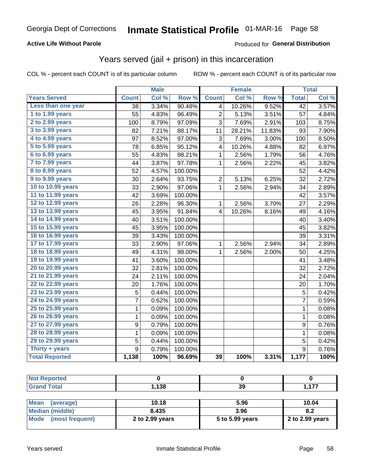#### **Active Life Without Parole**

#### Produced for General Distribution

### Years served (jail + prison) in this incarceration

COL % - percent each COUNT is of its particular column

|                        |                 | <b>Male</b> |         |                         | <b>Female</b> |        |                  | <b>Total</b> |
|------------------------|-----------------|-------------|---------|-------------------------|---------------|--------|------------------|--------------|
| <b>Years Served</b>    | <b>Count</b>    | Col %       | Row %   | <b>Count</b>            | Col %         | Row %  | <b>Total</b>     | Col %        |
| Less than one year     | $\overline{38}$ | 3.34%       | 90.48%  | 4                       | 10.26%        | 9.52%  | $\overline{42}$  | 3.57%        |
| 1 to 1.99 years        | 55              | 4.83%       | 96.49%  | $\overline{2}$          | 5.13%         | 3.51%  | 57               | 4.84%        |
| 2 to 2.99 years        | 100             | 8.79%       | 97.09%  | 3                       | 7.69%         | 2.91%  | 103              | 8.75%        |
| 3 to 3.99 years        | 82              | 7.21%       | 88.17%  | 11                      | 28.21%        | 11.83% | 93               | 7.90%        |
| 4 to 4.99 years        | 97              | 8.52%       | 97.00%  | 3                       | 7.69%         | 3.00%  | 100              | 8.50%        |
| 5 to 5.99 years        | 78              | 6.85%       | 95.12%  | 4                       | 10.26%        | 4.88%  | 82               | 6.97%        |
| 6 to 6.99 years        | 55              | 4.83%       | 98.21%  | 1                       | 2.56%         | 1.79%  | 56               | 4.76%        |
| 7 to 7.99 years        | 44              | 3.87%       | 97.78%  | 1                       | 2.56%         | 2.22%  | 45               | 3.82%        |
| <b>8 to 8.99 years</b> | 52              | 4.57%       | 100.00% |                         |               |        | 52               | 4.42%        |
| 9 to 9.99 years        | 30              | 2.64%       | 93.75%  | $\overline{c}$          | 5.13%         | 6.25%  | 32               | 2.72%        |
| 10 to 10.99 years      | 33              | 2.90%       | 97.06%  | $\mathbf 1$             | 2.56%         | 2.94%  | 34               | 2.89%        |
| 11 to 11.99 years      | 42              | 3.69%       | 100.00% |                         |               |        | 42               | 3.57%        |
| 12 to 12.99 years      | 26              | 2.28%       | 96.30%  | 1                       | 2.56%         | 3.70%  | 27               | 2.29%        |
| 13 to 13.99 years      | 45              | 3.95%       | 91.84%  | $\overline{\mathbf{4}}$ | 10.26%        | 8.16%  | 49               | 4.16%        |
| 14 to 14.99 years      | 40              | 3.51%       | 100.00% |                         |               |        | 40               | 3.40%        |
| 15 to 15.99 years      | 45              | 3.95%       | 100.00% |                         |               |        | 45               | 3.82%        |
| 16 to 16.99 years      | 39              | 3.43%       | 100.00% |                         |               |        | 39               | 3.31%        |
| 17 to 17.99 years      | 33              | 2.90%       | 97.06%  | 1                       | 2.56%         | 2.94%  | 34               | 2.89%        |
| 18 to 18.99 years      | 49              | 4.31%       | 98.00%  | 1                       | 2.56%         | 2.00%  | 50               | 4.25%        |
| 19 to 19.99 years      | 41              | 3.60%       | 100.00% |                         |               |        | 41               | 3.48%        |
| 20 to 20.99 years      | 32              | 2.81%       | 100.00% |                         |               |        | 32               | 2.72%        |
| 21 to 21.99 years      | 24              | 2.11%       | 100.00% |                         |               |        | 24               | 2.04%        |
| 22 to 22.99 years      | 20              | 1.76%       | 100.00% |                         |               |        | 20               | 1.70%        |
| 23 to 23.99 years      | 5               | 0.44%       | 100.00% |                         |               |        | 5                | 0.42%        |
| 24 to 24.99 years      | $\overline{7}$  | 0.62%       | 100.00% |                         |               |        | $\overline{7}$   | 0.59%        |
| 25 to 25.99 years      | $\mathbf{1}$    | 0.09%       | 100.00% |                         |               |        | $\mathbf{1}$     | 0.08%        |
| 26 to 26.99 years      | $\mathbf 1$     | 0.09%       | 100.00% |                         |               |        | $\mathbf 1$      | 0.08%        |
| 27 to 27.99 years      | 9               | 0.79%       | 100.00% |                         |               |        | 9                | 0.76%        |
| 28 to 28.99 years      | 1               | 0.09%       | 100.00% |                         |               |        | $\mathbf{1}$     | 0.08%        |
| 29 to 29.99 years      | 5               | 0.44%       | 100.00% |                         |               |        | 5                | 0.42%        |
| Thirty + years         | 9               | 0.79%       | 100.00% |                         |               |        | $\boldsymbol{9}$ | 0.76%        |
| <b>Total Reported</b>  | 1,138           | 100%        | 96.69%  | 39                      | 100%          | 3.31%  | 1,177            | 100%         |

| тео |        |                |      |
|-----|--------|----------------|------|
|     | 120    | $\overline{ }$ | 4.77 |
|     | , 1 JO | აა             | .    |

| <b>Mean</b><br>(average) | 10.18           | 5.96            | 10.04           |
|--------------------------|-----------------|-----------------|-----------------|
| Median (middle)          | 8.435           | 3.96            | 8.2             |
| Mode (most frequent)     | 2 to 2.99 years | 5 to 5.99 years | 2 to 2.99 years |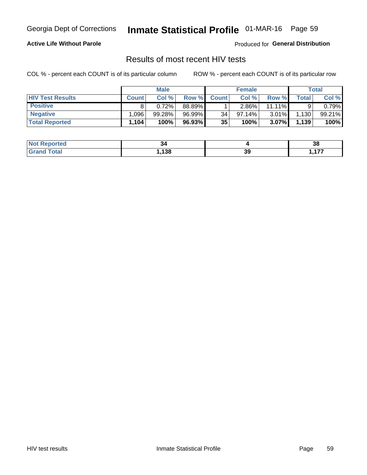## Inmate Statistical Profile 01-MAR-16 Page 59

#### **Active Life Without Parole**

Produced for General Distribution

### Results of most recent HIV tests

COL % - percent each COUNT is of its particular column

|                         |              | <b>Male</b> |        |              | <b>Female</b> |           |       | Total  |
|-------------------------|--------------|-------------|--------|--------------|---------------|-----------|-------|--------|
| <b>HIV Test Results</b> | <b>Count</b> | Col%        | Row %I | <b>Count</b> | Col %         | Row %     | Total | Col %  |
| <b>Positive</b>         |              | 0.72%       | 88.89% |              | $2.86\%$      | $11.11\%$ |       | 0.79%  |
| <b>Negative</b>         | .096         | 99.28%      | 96.99% | 34           | $97.14\%$     | 3.01%     | 1,130 | 99.21% |
| <b>Total Reported</b>   | 1,104        | 100%        | 96.93% | 35           | 100%          | 3.07%     | 1,139 | 100%   |

| <b>Not Reported</b> | 34          |    | oc.<br>၁၀ |
|---------------------|-------------|----|-----------|
| <b>Fotal</b>        | 120<br>. ၁၀ | 39 | ---       |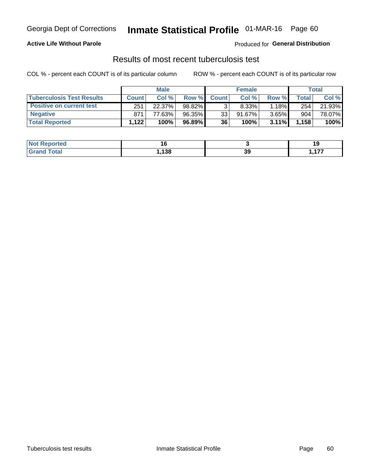## Georgia Dept of Corrections **Inmate Statistical Profile** 01-MAR-16 Page 60

#### **Active Life Without Parole**

Produced for **General Distribution**

### Results of most recent tuberculosis test

COL % - percent each COUNT is of its particular column ROW % - percent each COUNT is of its particular row

|                                  |              | <b>Male</b> |        |              | <b>Female</b> |          |       | Total  |
|----------------------------------|--------------|-------------|--------|--------------|---------------|----------|-------|--------|
| <b>Tuberculosis Test Results</b> | <b>Count</b> | Col%        | Row %I | <b>Count</b> | Col%          | Row %    | Total | Col %  |
| <b>Positive on current test</b>  | 251          | 22.37%      | 98.82% |              | 8.33%         | 1.18%    | 254   | 21.93% |
| <b>Negative</b>                  | 871          | 77.63%      | 96.35% | 33           | 91.67%        | $3.65\%$ | 904   | 78.07% |
| <b>Total Reported</b>            | 1,122        | 100%        | 96.89% | 36           | 100%          | 3.11%    | 1,158 | 100%   |

| <b>Not Reported</b> |     |    | . .           |
|---------------------|-----|----|---------------|
| <b>Total</b>        | 138 | 39 | $\rightarrow$ |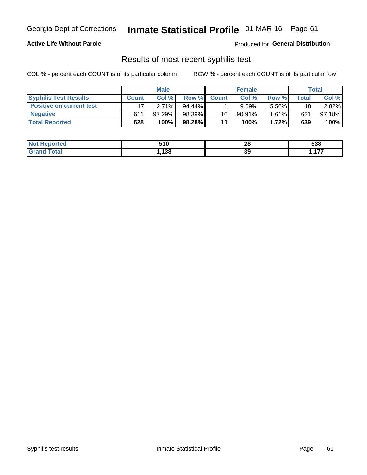## Georgia Dept of Corrections **Inmate Statistical Profile** 01-MAR-16 Page 61

#### **Active Life Without Parole**

Produced for **General Distribution**

### Results of most recent syphilis test

COL % - percent each COUNT is of its particular column ROW % - percent each COUNT is of its particular row

|                                 | <b>Male</b>  |        |           | <b>Female</b> |           |          | Total   |        |
|---------------------------------|--------------|--------|-----------|---------------|-----------|----------|---------|--------|
| <b>Syphilis Test Results</b>    | <b>Count</b> | Col%   | Row %I    | <b>Count</b>  | Col%      | Row %    | ⊤otal ⊦ | Col %  |
| <b>Positive on current test</b> |              | 2.71%  | $94.44\%$ |               | 9.09%     | 5.56%    | 18      | 2.82%  |
| <b>Negative</b>                 | 611          | 97.29% | 98.39%    | 10            | $90.91\%$ | $1.61\%$ | 621     | 97.18% |
| <b>Total Reported</b>           | 628          | 100%   | 98.28%    | 11            | 100%      | 1.72%    | 639     | 100%   |

| <b>Not Reported</b>          | 510  | റ<br>20 | 538            |
|------------------------------|------|---------|----------------|
| <b>Total</b><br><b>Grand</b> | ,138 | 39      | $\overline{a}$ |